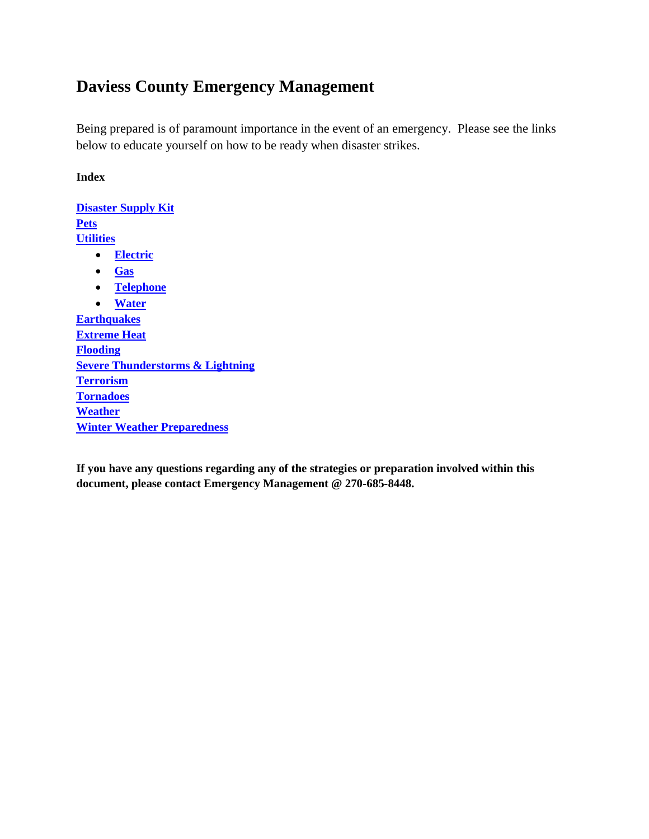## **Daviess County Emergency Management**

Being prepared is of paramount importance in the event of an emergency. Please see the links below to educate yourself on how to be ready when disaster strikes.

### **Index**

**[Disaster Supply Kit](#page-1-0) [Pets](#page-3-0) [Utilities](#page-5-0) [Electric](#page-5-1) [Gas](#page-7-0) [Telephone](#page-7-1) [Water](#page-9-0) [Earthquakes](#page-11-0) [Extreme Heat](#page-14-0) [Flooding](#page-16-0) [Severe Thunderstorms & Lightning](#page-19-0) [Terrorism](#page-22-0) [Tornadoes](#page-23-0) [Weather](#page-26-0) [Winter Weather Preparedness](#page-27-0)**

**If you have any questions regarding any of the strategies or preparation involved within this document, please contact Emergency Management @ 270-685-8448.**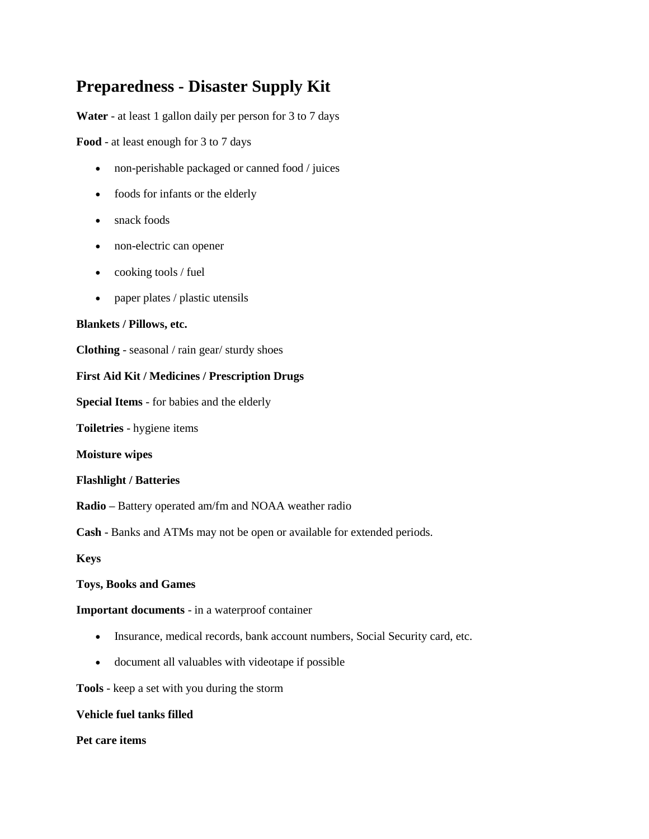## <span id="page-1-0"></span>**Preparedness - Disaster Supply Kit**

**Water** - at least 1 gallon daily per person for 3 to 7 days

**Food** - at least enough for 3 to 7 days

- non-perishable packaged or canned food / juices
- foods for infants or the elderly
- snack foods
- non-electric can opener
- $\bullet$  cooking tools / fuel
- paper plates / plastic utensils

#### **Blankets / Pillows, etc.**

**Clothing** - seasonal / rain gear/ sturdy shoes

#### **First Aid Kit / Medicines / Prescription Drugs**

**Special Items** - for babies and the elderly

**Toiletries** - hygiene items

**Moisture wipes**

#### **Flashlight / Batteries**

**Radio –** Battery operated am/fm and NOAA weather radio

**Cash** - Banks and ATMs may not be open or available for extended periods.

**Keys**

#### **Toys, Books and Games**

#### **Important documents** - in a waterproof container

- Insurance, medical records, bank account numbers, Social Security card, etc.
- document all valuables with videotape if possible

**Tools** - keep a set with you during the storm

#### **Vehicle fuel tanks filled**

**Pet care items**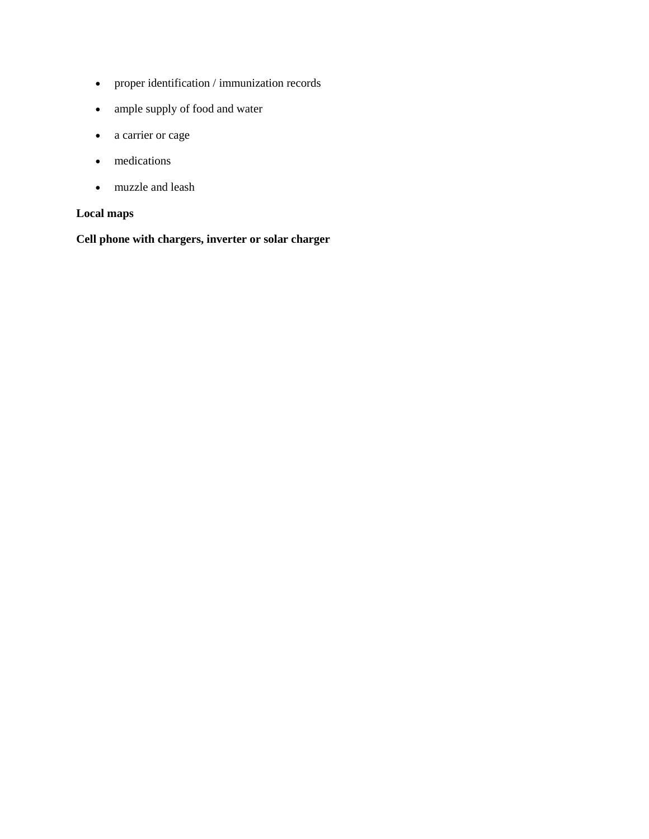- proper identification / immunization records
- ample supply of food and water
- a carrier or cage
- medications
- muzzle and leash

### **Local maps**

**Cell phone with chargers, inverter or solar charger**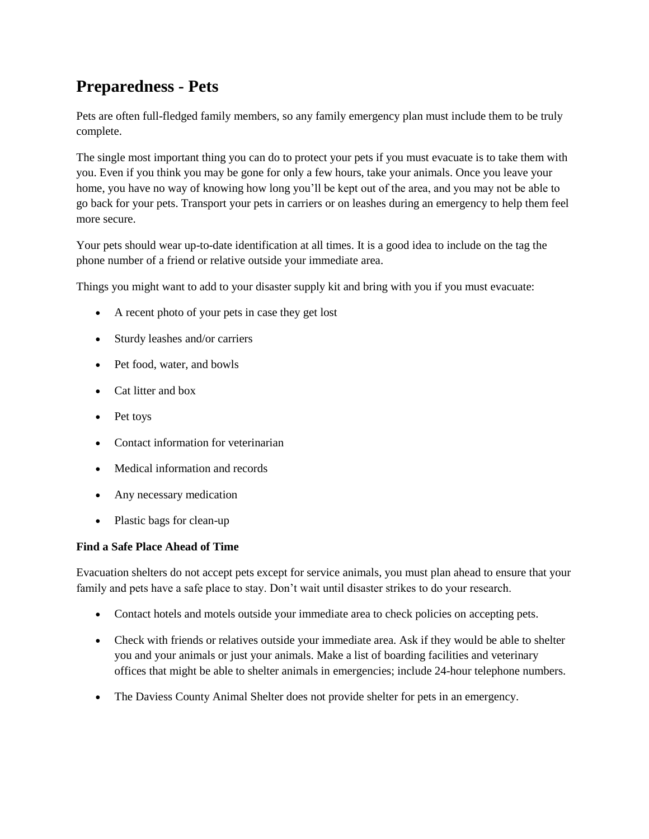## <span id="page-3-0"></span>**Preparedness - Pets**

Pets are often full-fledged family members, so any family emergency plan must include them to be truly complete.

The single most important thing you can do to protect your pets if you must evacuate is to take them with you. Even if you think you may be gone for only a few hours, take your animals. Once you leave your home, you have no way of knowing how long you'll be kept out of the area, and you may not be able to go back for your pets. Transport your pets in carriers or on leashes during an emergency to help them feel more secure.

Your pets should wear up-to-date identification at all times. It is a good idea to include on the tag the phone number of a friend or relative outside your immediate area.

Things you might want to add to your disaster supply kit and bring with you if you must evacuate:

- A recent photo of your pets in case they get lost
- Sturdy leashes and/or carriers
- Pet food, water, and bowls
- Cat litter and box
- Pet toys
- Contact information for veterinarian
- Medical information and records
- Any necessary medication
- Plastic bags for clean-up

#### **Find a Safe Place Ahead of Time**

Evacuation shelters do not accept pets except for service animals, you must plan ahead to ensure that your family and pets have a safe place to stay. Don't wait until disaster strikes to do your research.

- Contact hotels and motels outside your immediate area to check policies on accepting pets.
- Check with friends or relatives outside your immediate area. Ask if they would be able to shelter you and your animals or just your animals. Make a list of boarding facilities and veterinary offices that might be able to shelter animals in emergencies; include 24-hour telephone numbers.
- The Daviess County Animal Shelter does not provide shelter for pets in an emergency.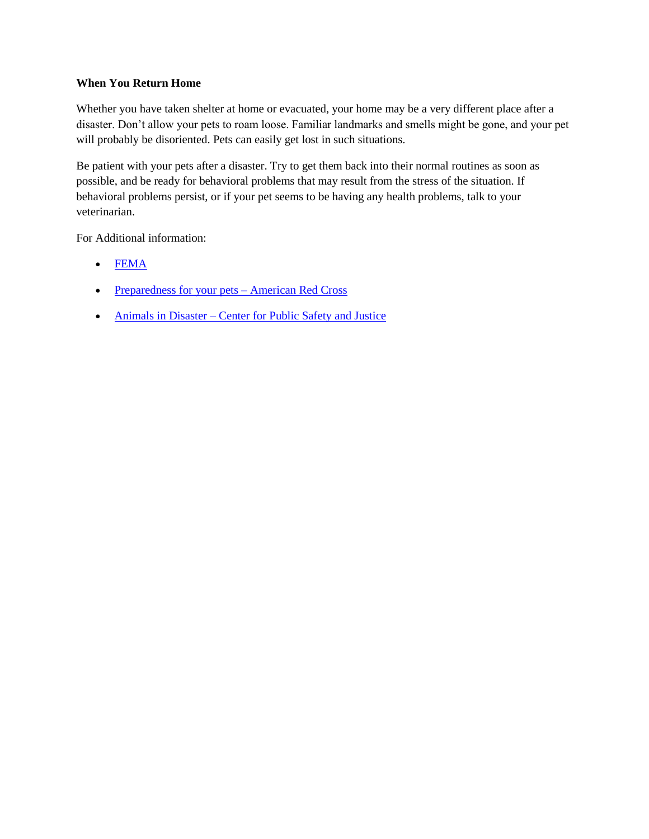#### **When You Return Home**

Whether you have taken shelter at home or evacuated, your home may be a very different place after a disaster. Don't allow your pets to roam loose. Familiar landmarks and smells might be gone, and your pet will probably be disoriented. Pets can easily get lost in such situations.

Be patient with your pets after a disaster. Try to get them back into their normal routines as soon as possible, and be ready for behavioral problems that may result from the stress of the situation. If behavioral problems persist, or if your pet seems to be having any health problems, talk to your veterinarian.

For Additional information:

- [FEMA](http://www.ready.gov/caring-animals)
- [Preparedness for your pets –](http://www.redcross.org/prepare/location/home-family/pets) American Red Cross
- Animals in Disaster [Center for Public Safety and Justice](http://ricp.uis.edu/animals_in_disasters.aspx)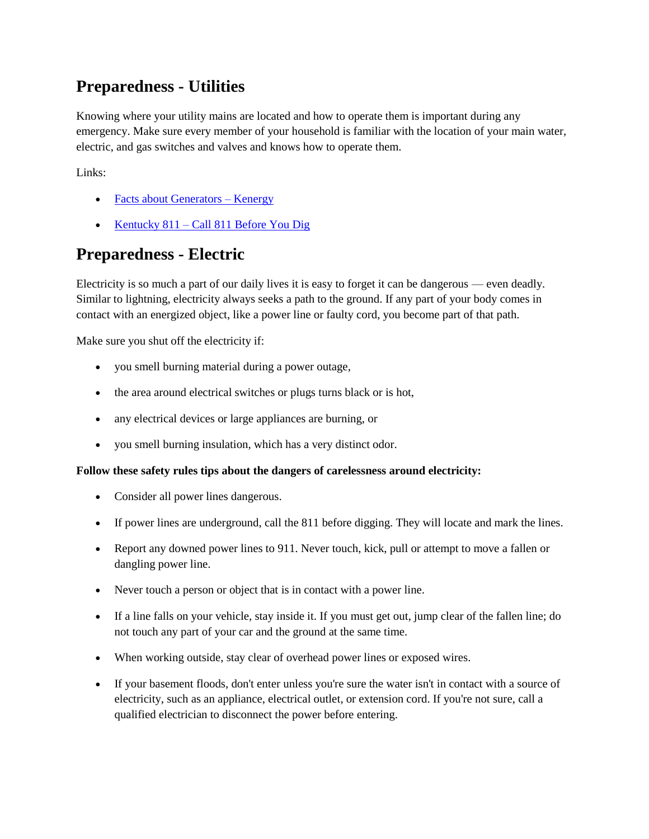## <span id="page-5-0"></span>**Preparedness - Utilities**

Knowing where your utility mains are located and how to operate them is important during any emergency. Make sure every member of your household is familiar with the location of your main water, electric, and gas switches and valves and knows how to operate them.

Links:

- Facts [about Generators –](http://www.kenergycorp.com/newsInformation/energyInformation/factsAboutGenerators.aspx) Kenergy
- Kentucky 811 [Call 811 Before You Dig](http://kentucky811.org/)

## <span id="page-5-1"></span>**Preparedness - Electric**

Electricity is so much a part of our daily lives it is easy to forget it can be dangerous — even deadly. Similar to lightning, electricity always seeks a path to the ground. If any part of your body comes in contact with an energized object, like a power line or faulty cord, you become part of that path.

Make sure you shut off the electricity if:

- you smell burning material during a power outage,
- the area around electrical switches or plugs turns black or is hot,
- any electrical devices or large appliances are burning, or
- you smell burning insulation, which has a very distinct odor.

#### **Follow these safety rules tips about the dangers of carelessness around electricity:**

- Consider all power lines dangerous.
- If power lines are underground, call the 811 before digging. They will locate and mark the lines.
- Report any downed power lines to 911. Never touch, kick, pull or attempt to move a fallen or dangling power line.
- Never touch a person or object that is in contact with a power line.
- If a line falls on your vehicle, stay inside it. If you must get out, jump clear of the fallen line; do not touch any part of your car and the ground at the same time.
- When working outside, stay clear of overhead power lines or exposed wires.
- If your basement floods, don't enter unless you're sure the water isn't in contact with a source of electricity, such as an appliance, electrical outlet, or extension cord. If you're not sure, call a qualified electrician to disconnect the power before entering.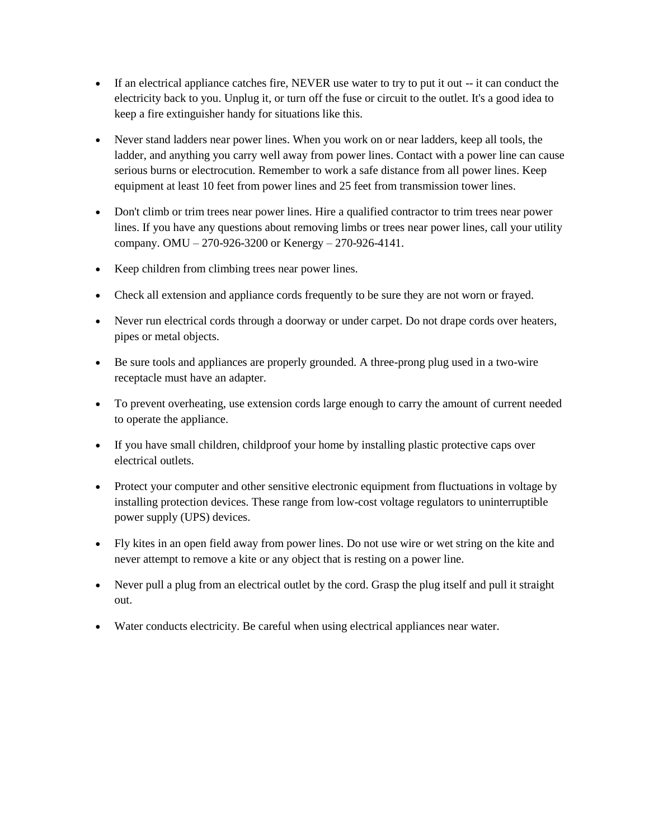- If an electrical appliance catches fire, NEVER use water to try to put it out -- it can conduct the electricity back to you. Unplug it, or turn off the fuse or circuit to the outlet. It's a good idea to keep a fire extinguisher handy for situations like this.
- Never stand ladders near power lines. When you work on or near ladders, keep all tools, the ladder, and anything you carry well away from power lines. Contact with a power line can cause serious burns or electrocution. Remember to work a safe distance from all power lines. Keep equipment at least 10 feet from power lines and 25 feet from transmission tower lines.
- Don't climb or trim trees near power lines. Hire a qualified contractor to trim trees near power lines. If you have any questions about removing limbs or trees near power lines, call your utility company. OMU – 270-926-3200 or Kenergy – 270-926-4141.
- Keep children from climbing trees near power lines.
- Check all extension and appliance cords frequently to be sure they are not worn or frayed.
- Never run electrical cords through a doorway or under carpet. Do not drape cords over heaters, pipes or metal objects.
- Be sure tools and appliances are properly grounded. A three-prong plug used in a two-wire receptacle must have an adapter.
- To prevent overheating, use extension cords large enough to carry the amount of current needed to operate the appliance.
- If you have small children, childproof your home by installing plastic protective caps over electrical outlets.
- Protect your computer and other sensitive electronic equipment from fluctuations in voltage by installing protection devices. These range from low-cost voltage regulators to uninterruptible power supply (UPS) devices.
- Fly kites in an open field away from power lines. Do not use wire or wet string on the kite and never attempt to remove a kite or any object that is resting on a power line.
- Never pull a plug from an electrical outlet by the cord. Grasp the plug itself and pull it straight out.
- Water conducts electricity. Be careful when using electrical appliances near water.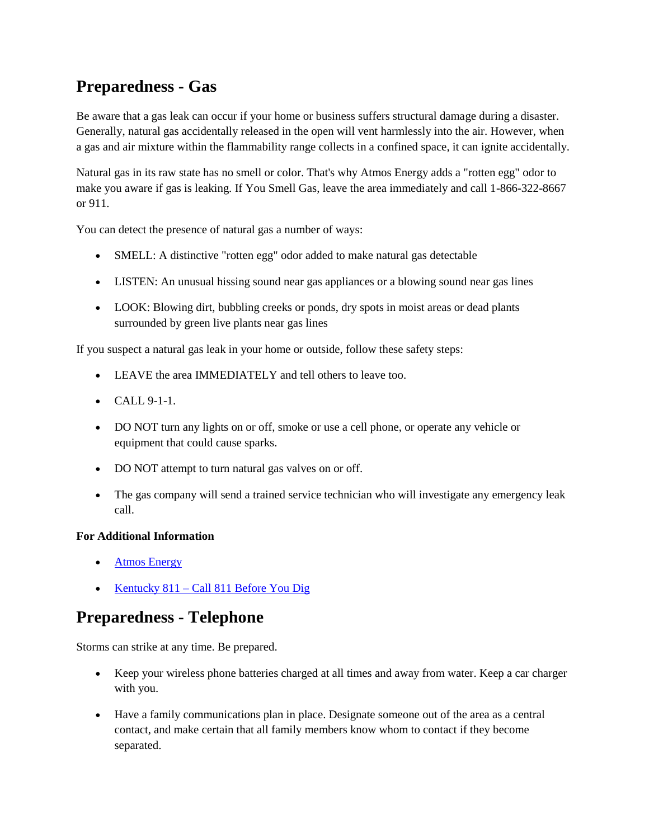# <span id="page-7-0"></span>**Preparedness - Gas**

Be aware that a gas leak can occur if your home or business suffers structural damage during a disaster. Generally, natural gas accidentally released in the open will vent harmlessly into the air. However, when a gas and air mixture within the flammability range collects in a confined space, it can ignite accidentally.

Natural gas in its raw state has no smell or color. That's why Atmos Energy adds a "rotten egg" odor to make you aware if gas is leaking. If You Smell Gas, leave the area immediately and call 1-866-322-8667 or 911.

You can detect the presence of natural gas a number of ways:

- SMELL: A distinctive "rotten egg" odor added to make natural gas detectable
- LISTEN: An unusual hissing sound near gas appliances or a blowing sound near gas lines
- LOOK: Blowing dirt, bubbling creeks or ponds, dry spots in moist areas or dead plants surrounded by green live plants near gas lines

If you suspect a natural gas leak in your home or outside, follow these safety steps:

- LEAVE the area IMMEDIATELY and tell others to leave too.
- $\bullet$  CALL 9-1-1.
- DO NOT turn any lights on or off, smoke or use a cell phone, or operate any vehicle or equipment that could cause sparks.
- DO NOT attempt to turn natural gas valves on or off.
- The gas company will send a trained service technician who will investigate any emergency leak call.

#### **For Additional Information**

- [Atmos Energy](http://atmosenergy.com/home/safety/index.html)
- Exercicle Vou Dig Kentucky  $811 -$ Call  $811$  Before You Dig

### <span id="page-7-1"></span>**Preparedness - Telephone**

Storms can strike at any time. Be prepared.

- Keep your wireless phone batteries charged at all times and away from water. Keep a car charger with you.
- Have a family communications plan in place. Designate someone out of the area as a central contact, and make certain that all family members know whom to contact if they become separated.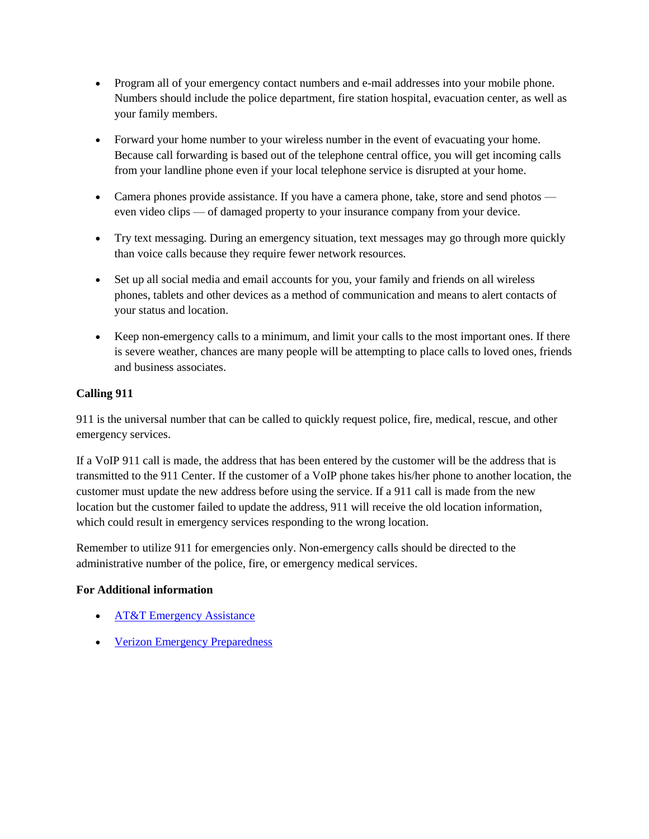- Program all of your emergency contact numbers and e-mail addresses into your mobile phone. Numbers should include the police department, fire station hospital, evacuation center, as well as your family members.
- Forward your home number to your wireless number in the event of evacuating your home. Because call forwarding is based out of the telephone central office, you will get incoming calls from your landline phone even if your local telephone service is disrupted at your home.
- Camera phones provide assistance. If you have a camera phone, take, store and send photos even video clips — of damaged property to your insurance company from your device.
- Try text messaging. During an emergency situation, text messages may go through more quickly than voice calls because they require fewer network resources.
- Set up all social media and email accounts for you, your family and friends on all wireless phones, tablets and other devices as a method of communication and means to alert contacts of your status and location.
- Keep non-emergency calls to a minimum, and limit your calls to the most important ones. If there is severe weather, chances are many people will be attempting to place calls to loved ones, friends and business associates.

### **Calling 911**

911 is the universal number that can be called to quickly request police, fire, medical, rescue, and other emergency services.

If a VoIP 911 call is made, the address that has been entered by the customer will be the address that is transmitted to the 911 Center. If the customer of a VoIP phone takes his/her phone to another location, the customer must update the new address before using the service. If a 911 call is made from the new location but the customer failed to update the address, 911 will receive the old location information, which could result in emergency services responding to the wrong location.

Remember to utilize 911 for emergencies only. Non-emergency calls should be directed to the administrative number of the police, fire, or emergency medical services.

#### **For Additional information**

- [AT&T Emergency Assistance](http://www.att.com/gen/general?pid=12218&RIAConsoleLogLevel=4000&address_id=undefined)
- [Verizon Emergency Preparedness](http://www.verizonwireless.com/aboutus/commitment/emergency_preparedness.html)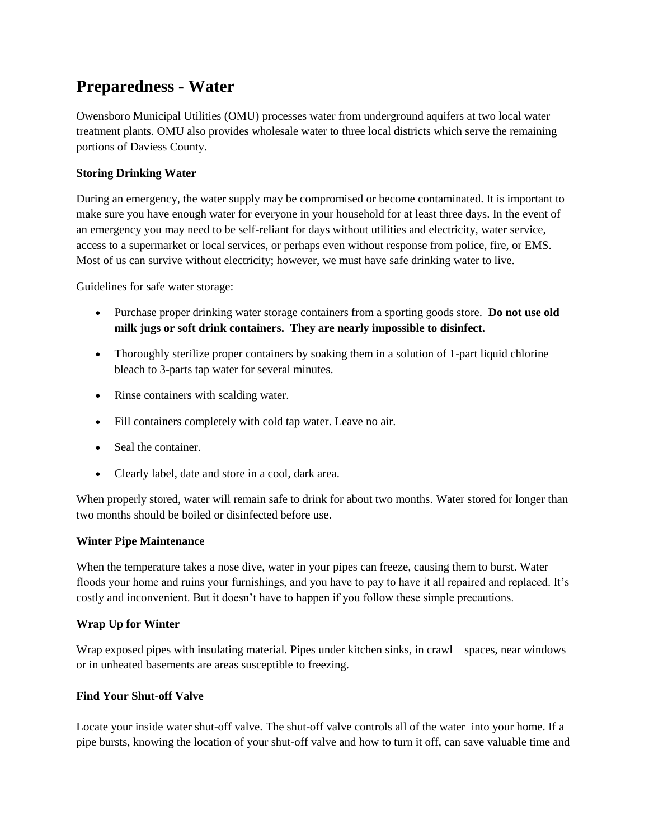## <span id="page-9-0"></span>**Preparedness - Water**

Owensboro Municipal Utilities (OMU) processes water from underground aquifers at two local water treatment plants. OMU also provides wholesale water to three local districts which serve the remaining portions of Daviess County.

#### **Storing Drinking Water**

During an emergency, the water supply may be compromised or become contaminated. It is important to make sure you have enough water for everyone in your household for at least three days. In the event of an emergency you may need to be self-reliant for days without utilities and electricity, water service, access to a supermarket or local services, or perhaps even without response from police, fire, or EMS. Most of us can survive without electricity; however, we must have safe drinking water to live.

Guidelines for safe water storage:

- Purchase proper drinking water storage containers from a sporting goods store. **Do not use old milk jugs or soft drink containers. They are nearly impossible to disinfect.**
- Thoroughly sterilize proper containers by soaking them in a solution of 1-part liquid chlorine bleach to 3-parts tap water for several minutes.
- Rinse containers with scalding water.
- Fill containers completely with cold tap water. Leave no air.
- Seal the container.
- Clearly label, date and store in a cool, dark area.

When properly stored, water will remain safe to drink for about two months. Water stored for longer than two months should be boiled or disinfected before use.

#### **Winter Pipe Maintenance**

When the temperature takes a nose dive, water in your pipes can freeze, causing them to burst. Water floods your home and ruins your furnishings, and you have to pay to have it all repaired and replaced. It's costly and inconvenient. But it doesn't have to happen if you follow these simple precautions.

#### **Wrap Up for Winter**

Wrap exposed pipes with insulating material. Pipes under kitchen sinks, in crawl spaces, near windows or in unheated basements are areas susceptible to freezing.

#### **Find Your Shut-off Valve**

Locate your inside water shut-off valve. The shut-off valve controls all of the water into your home. If a pipe bursts, knowing the location of your shut-off valve and how to turn it off, can save valuable time and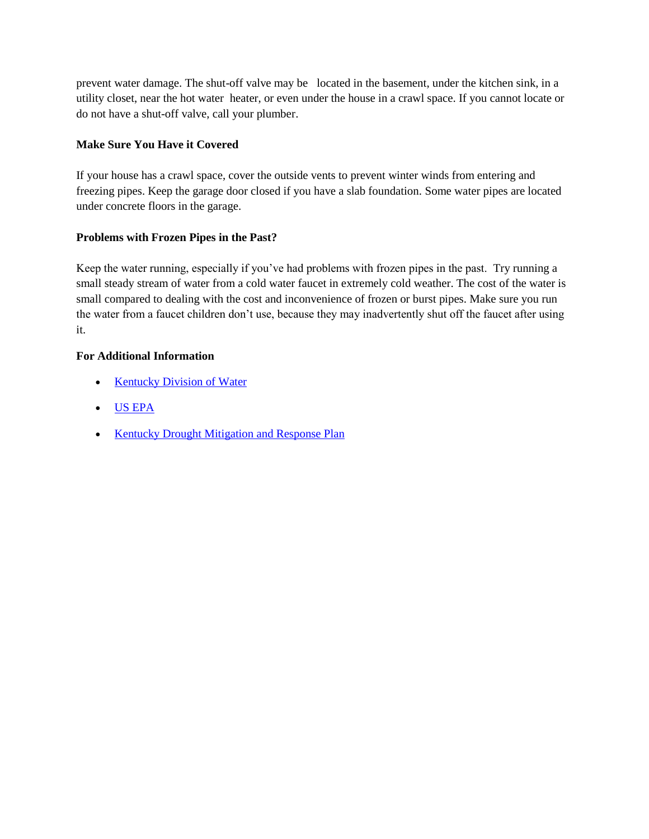prevent water damage. The shut-off valve may be located in the basement, under the kitchen sink, in a utility closet, near the hot water heater, or even under the house in a crawl space. If you cannot locate or do not have a shut-off valve, call your plumber.

#### **Make Sure You Have it Covered**

If your house has a crawl space, cover the outside vents to prevent winter winds from entering and freezing pipes. Keep the garage door closed if you have a slab foundation. Some water pipes are located under concrete floors in the garage.

#### **Problems with Frozen Pipes in the Past?**

Keep the water running, especially if you've had problems with frozen pipes in the past. Try running a small steady stream of water from a cold water faucet in extremely cold weather. The cost of the water is small compared to dealing with the cost and inconvenience of frozen or burst pipes. Make sure you run the water from a faucet children don't use, because they may inadvertently shut off the faucet after using it.

#### **For Additional Information**

- [Kentucky Division of Water](http://water.ky.gov/Pages/default.aspx)
- [US EPA](http://www2.epa.gov/learn-issues/learn-about-water)
- [Kentucky Drought Mitigation and Response Plan](http://water.ky.gov/wa/Documents/State%20Plan_Final.pdf)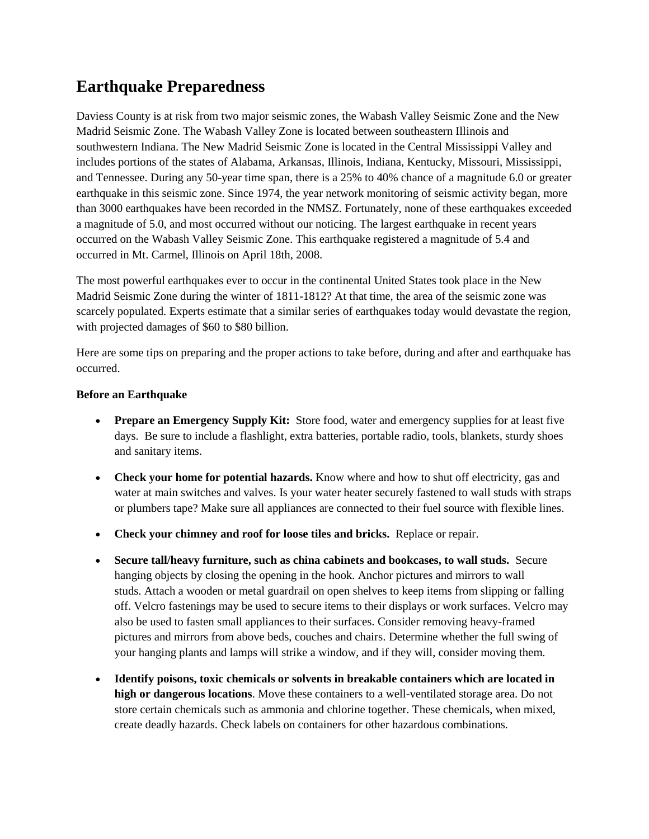### <span id="page-11-0"></span>**Earthquake Preparedness**

Daviess County is at risk from two major seismic zones, the Wabash Valley Seismic Zone and the New Madrid Seismic Zone. The Wabash Valley Zone is located between southeastern Illinois and southwestern Indiana. The New Madrid Seismic Zone is located in the Central Mississippi Valley and includes portions of the states of Alabama, Arkansas, Illinois, Indiana, Kentucky, Missouri, Mississippi, and Tennessee. During any 50-year time span, there is a 25% to 40% chance of a magnitude 6.0 or greater earthquake in this seismic zone. Since 1974, the year network monitoring of seismic activity began, more than 3000 earthquakes have been recorded in the NMSZ. Fortunately, none of these earthquakes exceeded a magnitude of 5.0, and most occurred without our noticing. The largest earthquake in recent years occurred on the Wabash Valley Seismic Zone. This earthquake registered a magnitude of 5.4 and occurred in Mt. Carmel, Illinois on April 18th, 2008.

The most powerful earthquakes ever to occur in the continental United States took place in the New Madrid Seismic Zone during the winter of 1811-1812? At that time, the area of the seismic zone was scarcely populated. Experts estimate that a similar series of earthquakes today would devastate the region, with projected damages of \$60 to \$80 billion.

Here are some tips on preparing and the proper actions to take before, during and after and earthquake has occurred.

#### **Before an Earthquake**

- **Prepare an Emergency Supply Kit:** Store food, water and emergency supplies for at least five days. Be sure to include a flashlight, extra batteries, portable radio, tools, blankets, sturdy shoes and sanitary items.
- **Check your home for potential hazards.** Know where and how to shut off electricity, gas and water at main switches and valves. Is your water heater securely fastened to wall studs with straps or plumbers tape? Make sure all appliances are connected to their fuel source with flexible lines.
- **Check your chimney and roof for loose tiles and bricks.** Replace or repair.
- **Secure tall/heavy furniture, such as china cabinets and bookcases, to wall studs.** Secure hanging objects by closing the opening in the hook. Anchor pictures and mirrors to wall studs. Attach a wooden or metal guardrail on open shelves to keep items from slipping or falling off. Velcro fastenings may be used to secure items to their displays or work surfaces. Velcro may also be used to fasten small appliances to their surfaces. Consider removing heavy-framed pictures and mirrors from above beds, couches and chairs. Determine whether the full swing of your hanging plants and lamps will strike a window, and if they will, consider moving them.
- **Identify poisons, toxic chemicals or solvents in breakable containers which are located in high or dangerous locations**. Move these containers to a well-ventilated storage area. Do not store certain chemicals such as ammonia and chlorine together. These chemicals, when mixed, create deadly hazards. Check labels on containers for other hazardous combinations.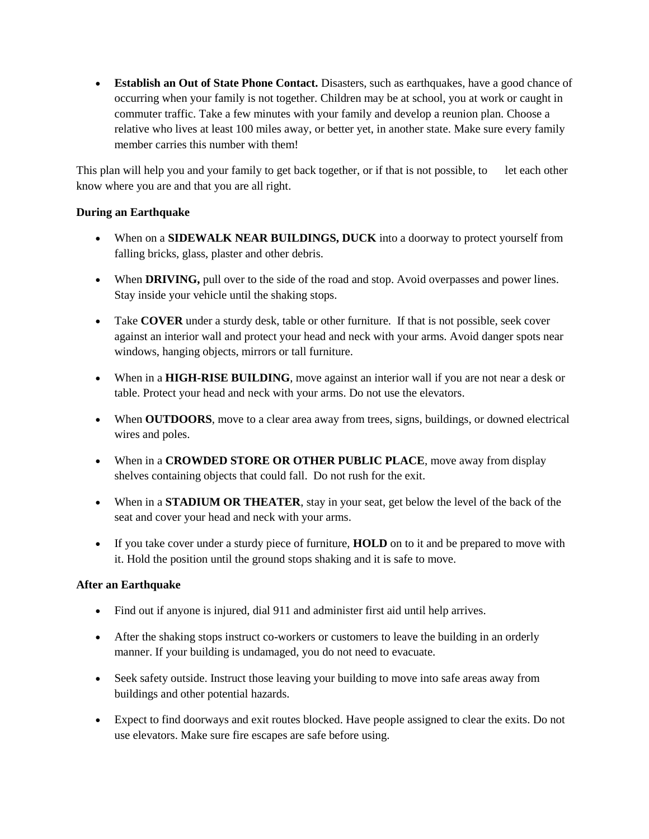**Establish an Out of State Phone Contact.** Disasters, such as earthquakes, have a good chance of occurring when your family is not together. Children may be at school, you at work or caught in commuter traffic. Take a few minutes with your family and develop a reunion plan. Choose a relative who lives at least 100 miles away, or better yet, in another state. Make sure every family member carries this number with them!

This plan will help you and your family to get back together, or if that is not possible, to let each other know where you are and that you are all right.

#### **During an Earthquake**

- When on a **SIDEWALK NEAR BUILDINGS, DUCK** into a doorway to protect yourself from falling bricks, glass, plaster and other debris.
- When **DRIVING,** pull over to the side of the road and stop. Avoid overpasses and power lines. Stay inside your vehicle until the shaking stops.
- Take **COVER** under a sturdy desk, table or other furniture. If that is not possible, seek cover against an interior wall and protect your head and neck with your arms. Avoid danger spots near windows, hanging objects, mirrors or tall furniture.
- When in a **HIGH-RISE BUILDING**, move against an interior wall if you are not near a desk or table. Protect your head and neck with your arms. Do not use the elevators.
- When **OUTDOORS**, move to a clear area away from trees, signs, buildings, or downed electrical wires and poles.
- When in a **CROWDED STORE OR OTHER PUBLIC PLACE**, move away from display shelves containing objects that could fall. Do not rush for the exit.
- When in a **STADIUM OR THEATER**, stay in your seat, get below the level of the back of the seat and cover your head and neck with your arms.
- If you take cover under a sturdy piece of furniture, **HOLD** on to it and be prepared to move with it. Hold the position until the ground stops shaking and it is safe to move.

#### **After an Earthquake**

- Find out if anyone is injured, dial 911 and administer first aid until help arrives.
- After the shaking stops instruct co-workers or customers to leave the building in an orderly manner. If your building is undamaged, you do not need to evacuate.
- Seek safety outside. Instruct those leaving your building to move into safe areas away from buildings and other potential hazards.
- Expect to find doorways and exit routes blocked. Have people assigned to clear the exits. Do not use elevators. Make sure fire escapes are safe before using.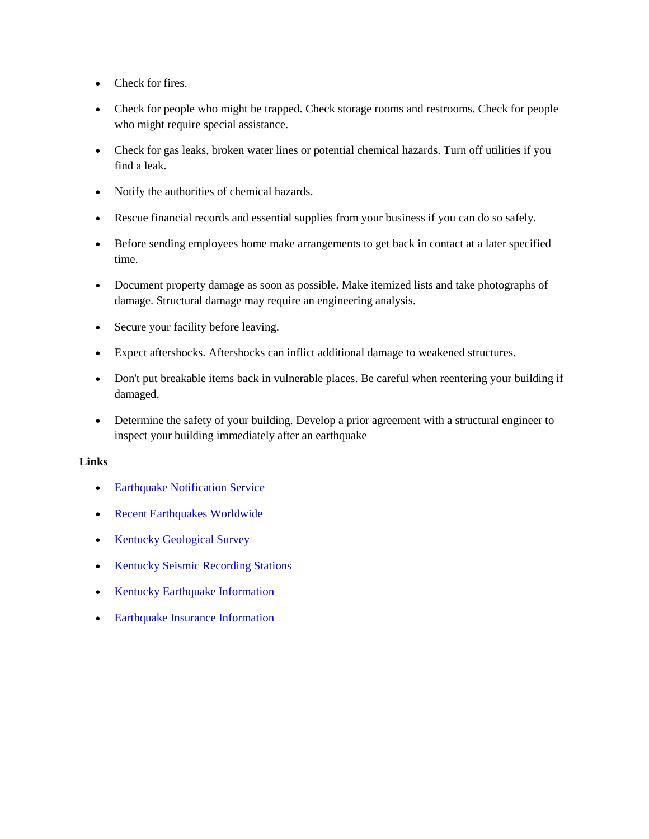- Check for fires.
- Check for people who might be trapped. Check storage rooms and restrooms. Check for people who might require special assistance.
- Check for gas leaks, broken water lines or potential chemical hazards. Turn off utilities if you find a leak.
- Notify the authorities of chemical hazards.
- Rescue financial records and essential supplies from your business if you can do so safely.
- Before sending employees home make arrangements to get back in contact at a later specified time.
- Document property damage as soon as possible. Make itemized lists and take photographs of damage. Structural damage may require an engineering analysis.
- Secure your facility before leaving.
- Expect aftershocks. Aftershocks can inflict additional damage to weakened structures.
- Don't put breakable items back in vulnerable places. Be careful when reentering your building if damaged.
- Determine the safety of your building. Develop a prior agreement with a structural engineer to inspect your building immediately after an earthquake

#### **Links**

- **•** [Earthquake Notification Service](https://sslearthquake.usgs.gov/ens/)
- [Recent Earthquakes Worldwide](http://earthquake.usgs.gov/earthquakes/map/)
- [Kentucky Geological Survey](http://www.uky.edu/KGS/)
- Kentucky Seismic [Recording Stations](http://www.uky.edu/KGS/geologichazards/equake3.htm)
- [Kentucky Earthquake Information](http://earthquake.usgs.gov/earthquakes/states/?region=Kentucky)
- [Earthquake Insurance Information](http://www.dcemaky.com/earthquakeInsurance.php)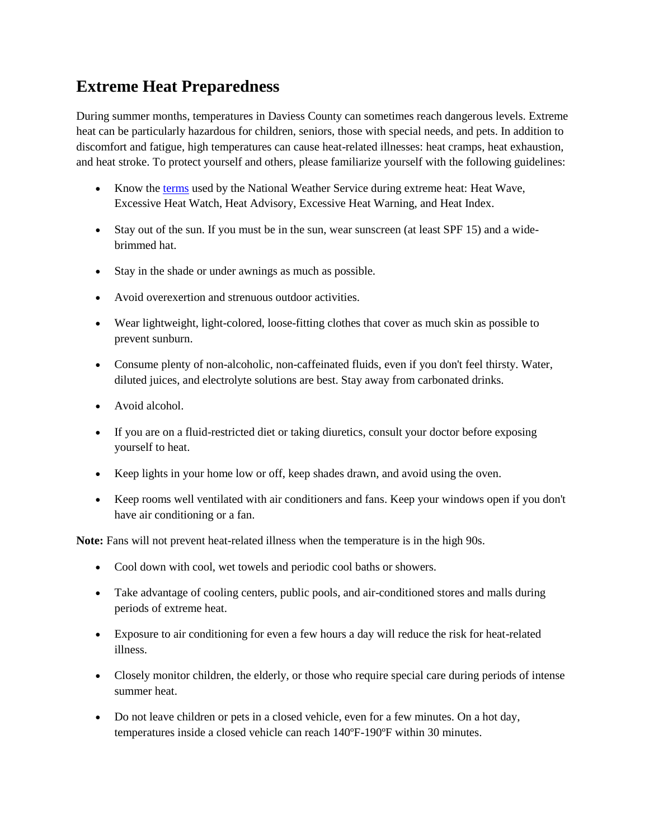## <span id="page-14-0"></span>**Extreme Heat Preparedness**

During summer months, temperatures in Daviess County can sometimes reach dangerous levels. Extreme heat can be particularly hazardous for children, seniors, those with special needs, and pets. In addition to discomfort and fatigue, high temperatures can cause heat-related illnesses: heat cramps, heat exhaustion, and heat stroke. To protect yourself and others, please familiarize yourself with the following guidelines:

- Know the [terms](http://www.illinois.gov/ready/hazards/pages/HeatTerms.aspx) used by the National Weather Service during extreme heat: Heat Wave, Excessive Heat Watch, Heat Advisory, Excessive Heat Warning, and Heat Index.
- Stay out of the sun. If you must be in the sun, wear sunscreen (at least SPF 15) and a widebrimmed hat.
- Stay in the shade or under awnings as much as possible.
- Avoid overexertion and strenuous outdoor activities.
- Wear lightweight, light-colored, loose-fitting clothes that cover as much skin as possible to prevent sunburn.
- Consume plenty of non-alcoholic, non-caffeinated fluids, even if you don't feel thirsty. Water, diluted juices, and electrolyte solutions are best. Stay away from carbonated drinks.
- Avoid alcohol.
- If you are on a fluid-restricted diet or taking diuretics, consult your doctor before exposing yourself to heat.
- Keep lights in your home low or off, keep shades drawn, and avoid using the oven.
- Keep rooms well ventilated with air conditioners and fans. Keep your windows open if you don't have air conditioning or a fan.

**Note:** Fans will not prevent heat-related illness when the temperature is in the high 90s.

- Cool down with cool, wet towels and periodic cool baths or showers.
- Take advantage of cooling centers, public pools, and air-conditioned stores and malls during periods of extreme heat.
- Exposure to air conditioning for even a few hours a day will reduce the risk for heat-related illness.
- Closely monitor children, the elderly, or those who require special care during periods of intense summer heat.
- Do not leave children or pets in a closed vehicle, even for a few minutes. On a hot day, temperatures inside a closed vehicle can reach 140ºF-190ºF within 30 minutes.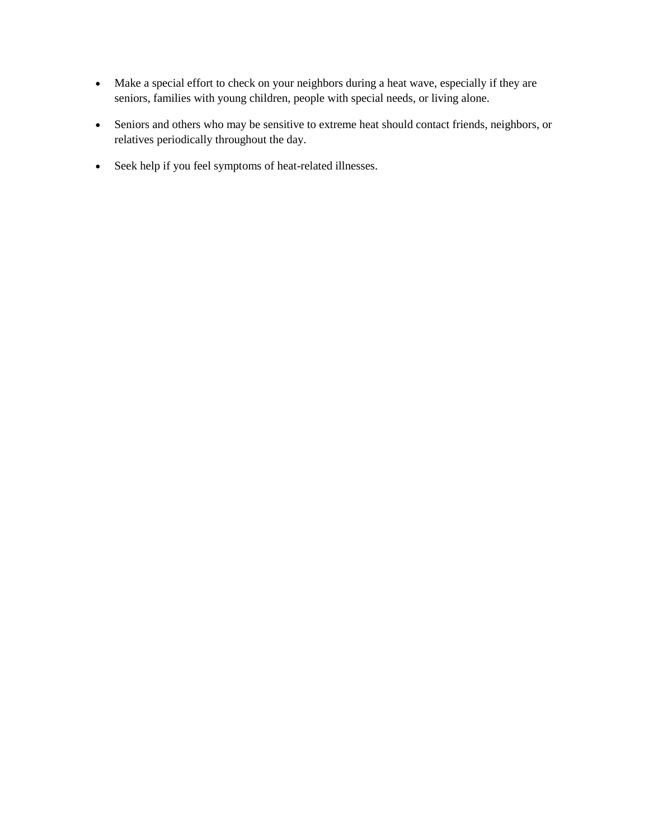- Make a special effort to check on your neighbors during a heat wave, especially if they are seniors, families with young children, people with special needs, or living alone.
- Seniors and others who may be sensitive to extreme heat should contact friends, neighbors, or relatives periodically throughout the day.
- Seek help if you feel symptoms of heat-related illnesses.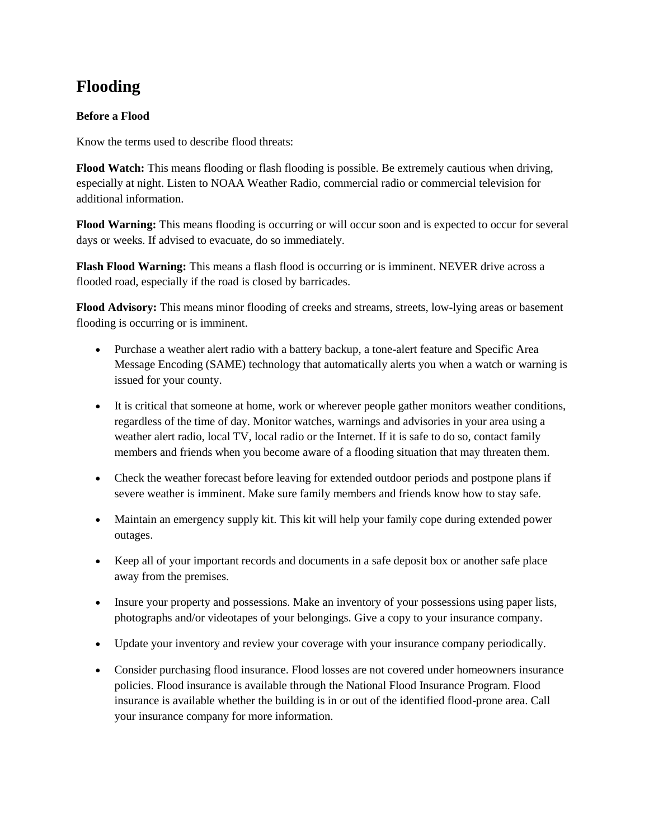# <span id="page-16-0"></span>**Flooding**

### **Before a Flood**

Know the terms used to describe flood threats:

**Flood Watch:** This means flooding or flash flooding is possible. Be extremely cautious when driving, especially at night. Listen to NOAA Weather Radio, commercial radio or commercial television for additional information.

**Flood Warning:** This means flooding is occurring or will occur soon and is expected to occur for several days or weeks. If advised to evacuate, do so immediately.

**Flash Flood Warning:** This means a flash flood is occurring or is imminent. NEVER drive across a flooded road, especially if the road is closed by barricades.

**Flood Advisory:** This means minor flooding of creeks and streams, streets, low-lying areas or basement flooding is occurring or is imminent.

- Purchase a weather alert radio with a battery backup, a tone-alert feature and Specific Area Message Encoding (SAME) technology that automatically alerts you when a watch or warning is issued for your county.
- It is critical that someone at home, work or wherever people gather monitors weather conditions, regardless of the time of day. Monitor watches, warnings and advisories in your area using a weather alert radio, local TV, local radio or the Internet. If it is safe to do so, contact family members and friends when you become aware of a flooding situation that may threaten them.
- Check the weather forecast before leaving for extended outdoor periods and postpone plans if severe weather is imminent. Make sure family members and friends know how to stay safe.
- Maintain an emergency supply kit. This kit will help your family cope during extended power outages.
- Keep all of your important records and documents in a safe deposit box or another safe place away from the premises.
- Insure your property and possessions. Make an inventory of your possessions using paper lists, photographs and/or videotapes of your belongings. Give a copy to your insurance company.
- Update your inventory and review your coverage with your insurance company periodically.
- Consider purchasing flood insurance. Flood losses are not covered under homeowners insurance policies. Flood insurance is available through the National Flood Insurance Program. Flood insurance is available whether the building is in or out of the identified flood-prone area. Call your insurance company for more information.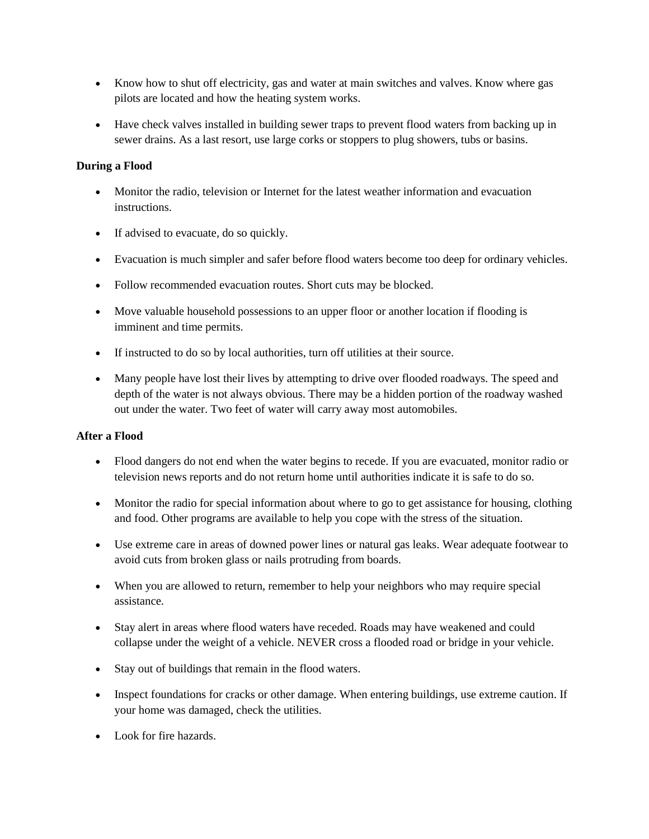- Know how to shut off electricity, gas and water at main switches and valves. Know where gas pilots are located and how the heating system works.
- Have check valves installed in building sewer traps to prevent flood waters from backing up in sewer drains. As a last resort, use large corks or stoppers to plug showers, tubs or basins.

### **During a Flood**

- Monitor the radio, television or Internet for the latest weather information and evacuation instructions.
- If advised to evacuate, do so quickly.
- Evacuation is much simpler and safer before flood waters become too deep for ordinary vehicles.
- Follow recommended evacuation routes. Short cuts may be blocked.
- Move valuable household possessions to an upper floor or another location if flooding is imminent and time permits.
- If instructed to do so by local authorities, turn off utilities at their source.
- Many people have lost their lives by attempting to drive over flooded roadways. The speed and depth of the water is not always obvious. There may be a hidden portion of the roadway washed out under the water. Two feet of water will carry away most automobiles.

#### **After a Flood**

- Flood dangers do not end when the water begins to recede. If you are evacuated, monitor radio or television news reports and do not return home until authorities indicate it is safe to do so.
- Monitor the radio for special information about where to go to get assistance for housing, clothing and food. Other programs are available to help you cope with the stress of the situation.
- Use extreme care in areas of downed power lines or natural gas leaks. Wear adequate footwear to avoid cuts from broken glass or nails protruding from boards.
- When you are allowed to return, remember to help your neighbors who may require special assistance.
- Stay alert in areas where flood waters have receded. Roads may have weakened and could collapse under the weight of a vehicle. NEVER cross a flooded road or bridge in your vehicle.
- Stay out of buildings that remain in the flood waters.
- Inspect foundations for cracks or other damage. When entering buildings, use extreme caution. If your home was damaged, check the utilities.
- Look for fire hazards.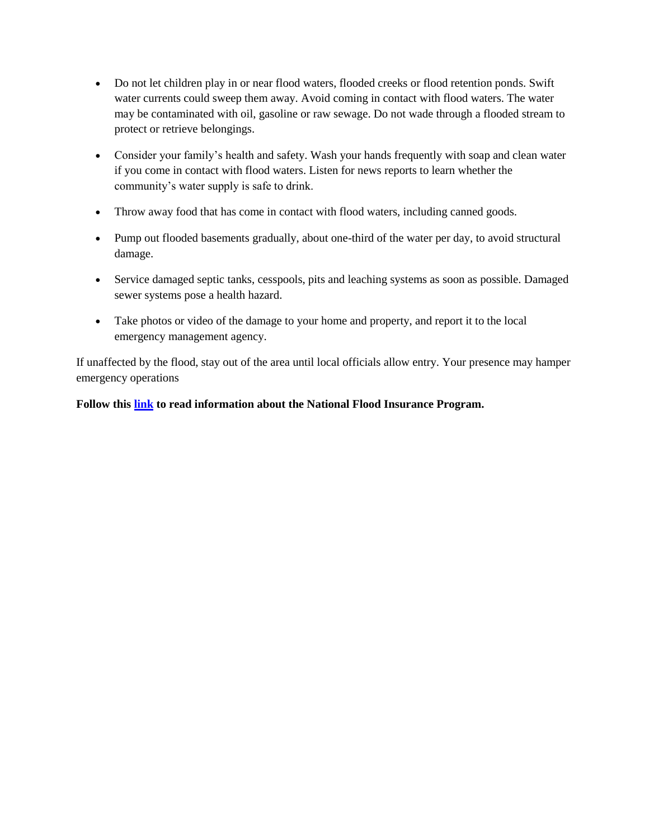- Do not let children play in or near flood waters, flooded creeks or flood retention ponds. Swift water currents could sweep them away. Avoid coming in contact with flood waters. The water may be contaminated with oil, gasoline or raw sewage. Do not wade through a flooded stream to protect or retrieve belongings.
- Consider your family's health and safety. Wash your hands frequently with soap and clean water if you come in contact with flood waters. Listen for news reports to learn whether the community's water supply is safe to drink.
- Throw away food that has come in contact with flood waters, including canned goods.
- Pump out flooded basements gradually, about one-third of the water per day, to avoid structural damage.
- Service damaged septic tanks, cesspools, pits and leaching systems as soon as possible. Damaged sewer systems pose a health hazard.
- Take photos or video of the damage to your home and property, and report it to the local emergency management agency.

If unaffected by the flood, stay out of the area until local officials allow entry. Your presence may hamper emergency operations

#### **Follow this [link](http://www.dcemaky.com/floodingInfo.php) to read information about the National Flood Insurance Program.**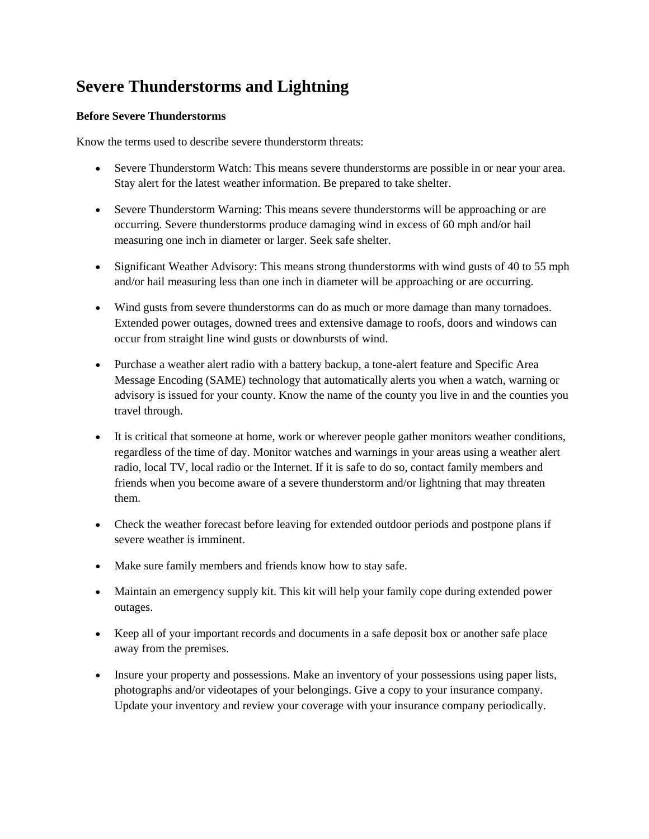## <span id="page-19-0"></span>**Severe Thunderstorms and Lightning**

#### **Before Severe Thunderstorms**

Know the terms used to describe severe thunderstorm threats:

- Severe Thunderstorm Watch: This means severe thunderstorms are possible in or near your area. Stay alert for the latest weather information. Be prepared to take shelter.
- Severe Thunderstorm Warning: This means severe thunderstorms will be approaching or are occurring. Severe thunderstorms produce damaging wind in excess of 60 mph and/or hail measuring one inch in diameter or larger. Seek safe shelter.
- Significant Weather Advisory: This means strong thunderstorms with wind gusts of 40 to 55 mph and/or hail measuring less than one inch in diameter will be approaching or are occurring.
- Wind gusts from severe thunderstorms can do as much or more damage than many tornadoes. Extended power outages, downed trees and extensive damage to roofs, doors and windows can occur from straight line wind gusts or downbursts of wind.
- Purchase a weather alert radio with a battery backup, a tone-alert feature and Specific Area Message Encoding (SAME) technology that automatically alerts you when a watch, warning or advisory is issued for your county. Know the name of the county you live in and the counties you travel through.
- It is critical that someone at home, work or wherever people gather monitors weather conditions, regardless of the time of day. Monitor watches and warnings in your areas using a weather alert radio, local TV, local radio or the Internet. If it is safe to do so, contact family members and friends when you become aware of a severe thunderstorm and/or lightning that may threaten them.
- Check the weather forecast before leaving for extended outdoor periods and postpone plans if severe weather is imminent.
- Make sure family members and friends know how to stay safe.
- Maintain an emergency supply kit. This kit will help your family cope during extended power outages.
- Keep all of your important records and documents in a safe deposit box or another safe place away from the premises.
- Insure your property and possessions. Make an inventory of your possessions using paper lists, photographs and/or videotapes of your belongings. Give a copy to your insurance company. Update your inventory and review your coverage with your insurance company periodically.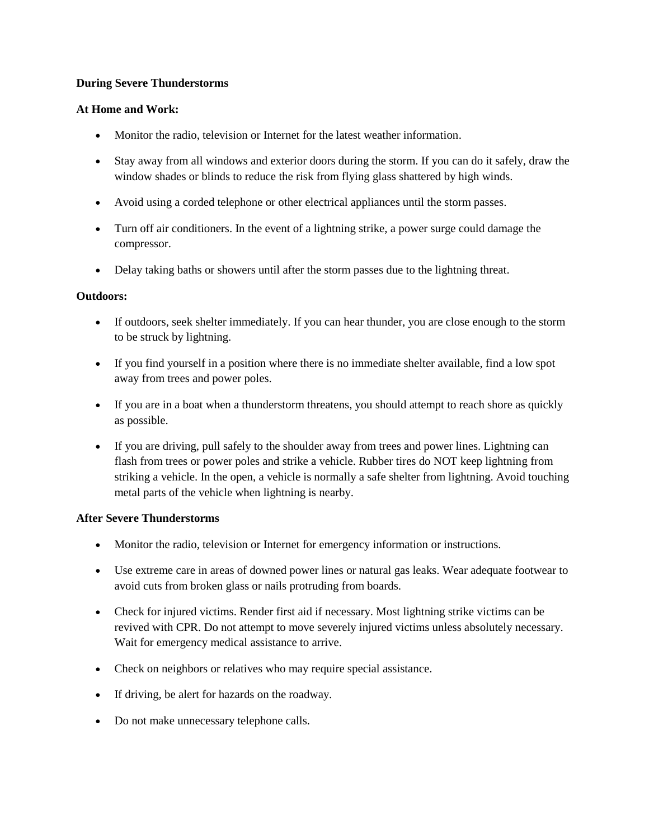#### **During Severe Thunderstorms**

#### **At Home and Work:**

- Monitor the radio, television or Internet for the latest weather information.
- Stay away from all windows and exterior doors during the storm. If you can do it safely, draw the window shades or blinds to reduce the risk from flying glass shattered by high winds.
- Avoid using a corded telephone or other electrical appliances until the storm passes.
- Turn off air conditioners. In the event of a lightning strike, a power surge could damage the compressor.
- Delay taking baths or showers until after the storm passes due to the lightning threat.

#### **Outdoors:**

- If outdoors, seek shelter immediately. If you can hear thunder, you are close enough to the storm to be struck by lightning.
- If you find yourself in a position where there is no immediate shelter available, find a low spot away from trees and power poles.
- If you are in a boat when a thunderstorm threatens, you should attempt to reach shore as quickly as possible.
- If you are driving, pull safely to the shoulder away from trees and power lines. Lightning can flash from trees or power poles and strike a vehicle. Rubber tires do NOT keep lightning from striking a vehicle. In the open, a vehicle is normally a safe shelter from lightning. Avoid touching metal parts of the vehicle when lightning is nearby.

#### **After Severe Thunderstorms**

- Monitor the radio, television or Internet for emergency information or instructions.
- Use extreme care in areas of downed power lines or natural gas leaks. Wear adequate footwear to avoid cuts from broken glass or nails protruding from boards.
- Check for injured victims. Render first aid if necessary. Most lightning strike victims can be revived with CPR. Do not attempt to move severely injured victims unless absolutely necessary. Wait for emergency medical assistance to arrive.
- Check on neighbors or relatives who may require special assistance.
- If driving, be alert for hazards on the roadway.
- Do not make unnecessary telephone calls.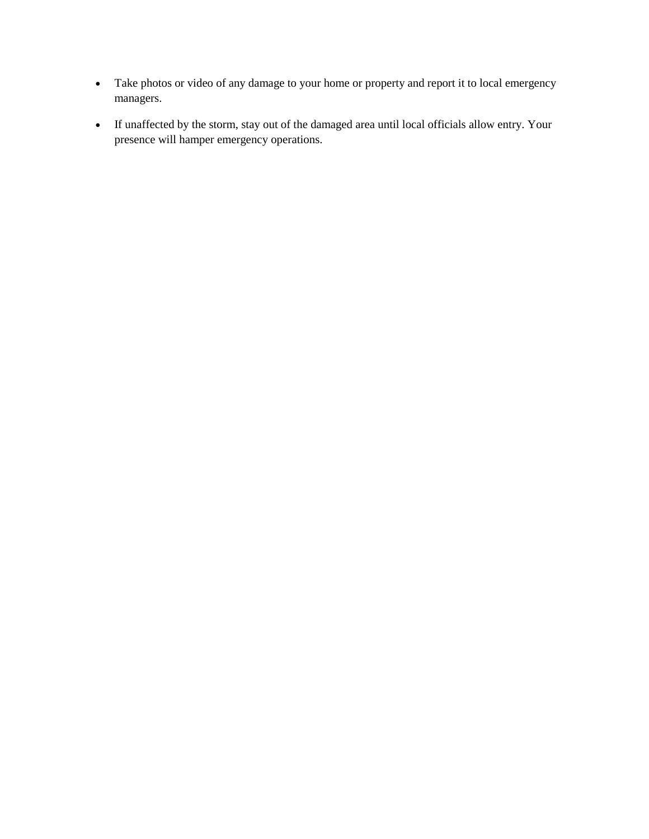- Take photos or video of any damage to your home or property and report it to local emergency managers.
- If unaffected by the storm, stay out of the damaged area until local officials allow entry. Your presence will hamper emergency operations.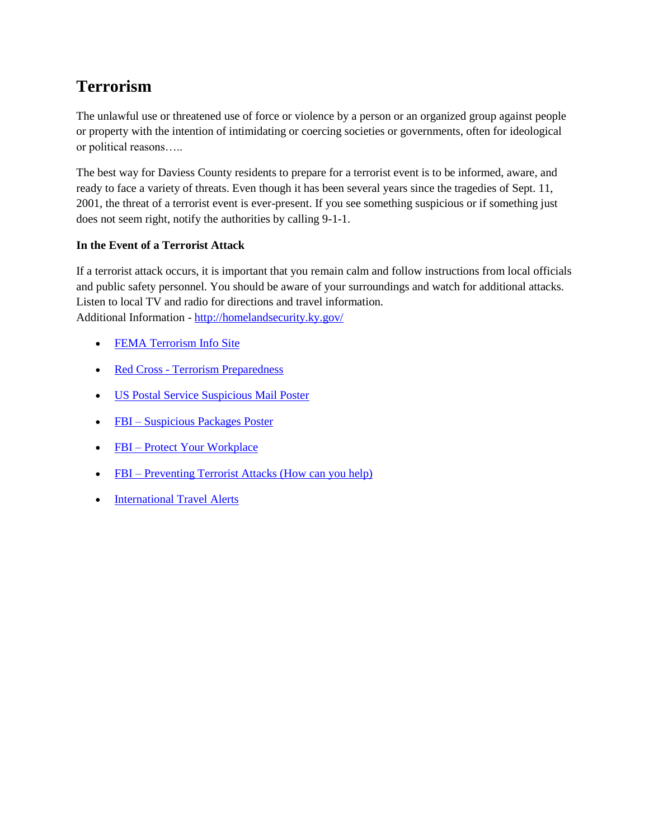## <span id="page-22-0"></span>**Terrorism**

The unlawful use or threatened use of force or violence by a person or an organized group against people or property with the intention of intimidating or coercing societies or governments, often for ideological or political reasons…..

The best way for Daviess County residents to prepare for a terrorist event is to be informed, aware, and ready to face a variety of threats. Even though it has been several years since the tragedies of Sept. 11, 2001, the threat of a terrorist event is ever-present. If you see something suspicious or if something just does not seem right, notify the authorities by calling 9-1-1.

### **In the Event of a Terrorist Attack**

If a terrorist attack occurs, it is important that you remain calm and follow instructions from local officials and public safety personnel. You should be aware of your surroundings and watch for additional attacks. Listen to local TV and radio for directions and travel information. Additional Information - <http://homelandsecurity.ky.gov/>

- [FEMA Terrorism Info Site](http://www.ready.gov/terrorist-hazards)
- Red Cross [Terrorism Preparedness](http://www.redcross.org/prepare/disaster/terrorism)
- [US Postal Service Suspicious Mail Poster](http://about.usps.com/posters/pos84.pdf)
- FBI [Suspicious Packages Poster](http://www.fbi.gov/about-us/investigate/terrorism/suspicious-packages-pdf)
- FBI [Protect Your Workplace](http://www.fbi.gov/news/stories/2006/july/ncrs070706)
- FBI [Preventing Terrorist Attacks \(How can you help\)](http://www.fbi.gov/about-us/investigate/terrorism/help-prevent-terrorist-attacks)
- [International Travel Alerts](http://travel.state.gov/travel/cis_pa_tw/cis_pa_tw_1168.html)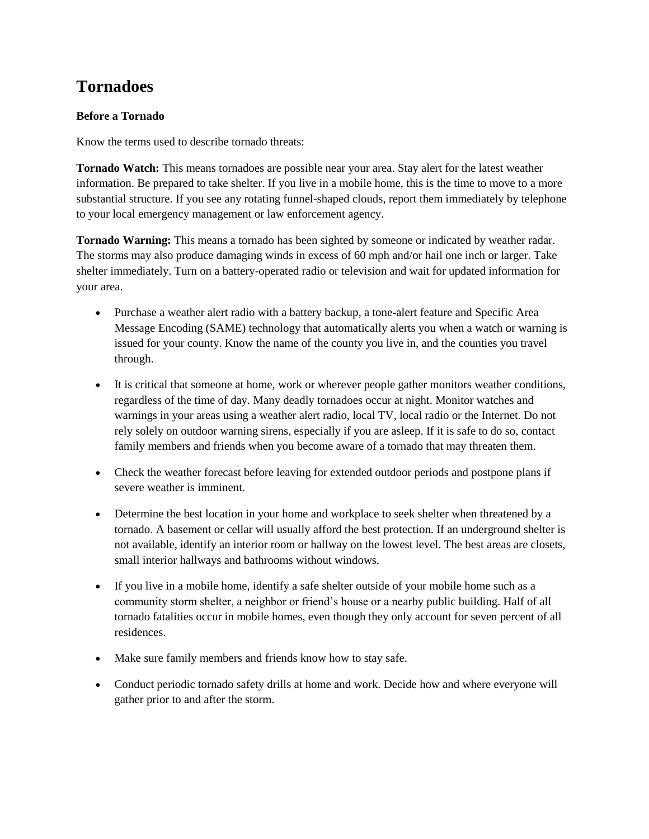## <span id="page-23-0"></span>**Tornadoes**

### **Before a Tornado**

Know the terms used to describe tornado threats:

**Tornado Watch:** This means tornadoes are possible near your area. Stay alert for the latest weather information. Be prepared to take shelter. If you live in a mobile home, this is the time to move to a more substantial structure. If you see any rotating funnel-shaped clouds, report them immediately by telephone to your local emergency management or law enforcement agency.

**Tornado Warning:** This means a tornado has been sighted by someone or indicated by weather radar. The storms may also produce damaging winds in excess of 60 mph and/or hail one inch or larger. Take shelter immediately. Turn on a battery-operated radio or television and wait for updated information for your area.

- Purchase a weather alert radio with a battery backup, a tone-alert feature and Specific Area Message Encoding (SAME) technology that automatically alerts you when a watch or warning is issued for your county. Know the name of the county you live in, and the counties you travel through.
- It is critical that someone at home, work or wherever people gather monitors weather conditions, regardless of the time of day. Many deadly tornadoes occur at night. Monitor watches and warnings in your areas using a weather alert radio, local TV, local radio or the Internet. Do not rely solely on outdoor warning sirens, especially if you are asleep. If it is safe to do so, contact family members and friends when you become aware of a tornado that may threaten them.
- Check the weather forecast before leaving for extended outdoor periods and postpone plans if severe weather is imminent.
- Determine the best location in your home and workplace to seek shelter when threatened by a tornado. A basement or cellar will usually afford the best protection. If an underground shelter is not available, identify an interior room or hallway on the lowest level. The best areas are closets, small interior hallways and bathrooms without windows.
- If you live in a mobile home, identify a safe shelter outside of your mobile home such as a community storm shelter, a neighbor or friend's house or a nearby public building. Half of all tornado fatalities occur in mobile homes, even though they only account for seven percent of all residences.
- Make sure family members and friends know how to stay safe.
- Conduct periodic tornado safety drills at home and work. Decide how and where everyone will gather prior to and after the storm.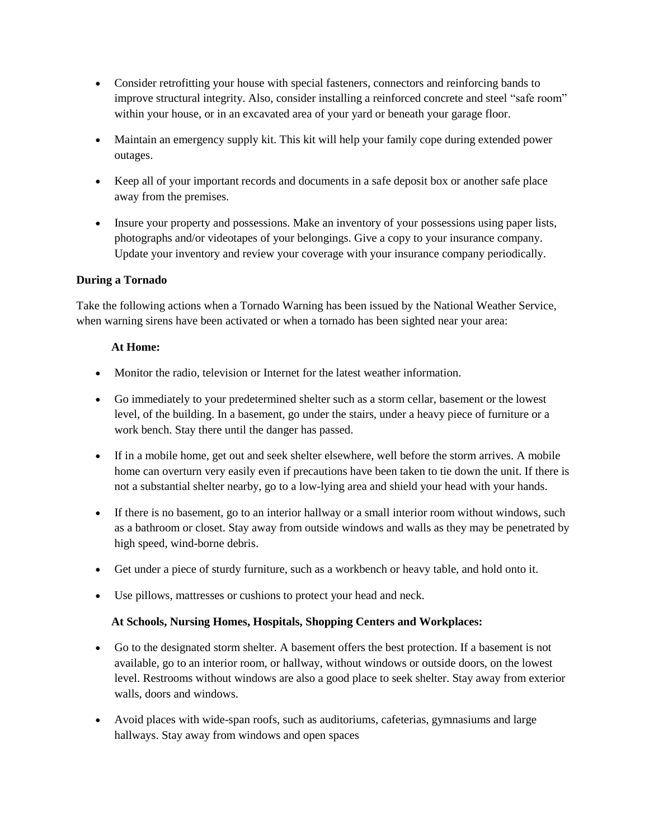- Consider retrofitting your house with special fasteners, connectors and reinforcing bands to improve structural integrity. Also, consider installing a reinforced concrete and steel "safe room" within your house, or in an excavated area of your yard or beneath your garage floor.
- Maintain an emergency supply kit. This kit will help your family cope during extended power outages.
- Keep all of your important records and documents in a safe deposit box or another safe place away from the premises.
- Insure your property and possessions. Make an inventory of your possessions using paper lists, photographs and/or videotapes of your belongings. Give a copy to your insurance company. Update your inventory and review your coverage with your insurance company periodically.

#### **During a Tornado**

Take the following actions when a Tornado Warning has been issued by the National Weather Service, when warning sirens have been activated or when a tornado has been sighted near your area:

### **At Home:**

- Monitor the radio, television or Internet for the latest weather information.
- Go immediately to your predetermined shelter such as a storm cellar, basement or the lowest level, of the building. In a basement, go under the stairs, under a heavy piece of furniture or a work bench. Stay there until the danger has passed.
- If in a mobile home, get out and seek shelter elsewhere, well before the storm arrives. A mobile home can overturn very easily even if precautions have been taken to tie down the unit. If there is not a substantial shelter nearby, go to a low-lying area and shield your head with your hands.
- If there is no basement, go to an interior hallway or a small interior room without windows, such as a bathroom or closet. Stay away from outside windows and walls as they may be penetrated by high speed, wind-borne debris.
- Get under a piece of sturdy furniture, such as a workbench or heavy table, and hold onto it.
- Use pillows, mattresses or cushions to protect your head and neck.

#### **At Schools, Nursing Homes, Hospitals, Shopping Centers and Workplaces:**

- Go to the designated storm shelter. A basement offers the best protection. If a basement is not available, go to an interior room, or hallway, without windows or outside doors, on the lowest level. Restrooms without windows are also a good place to seek shelter. Stay away from exterior walls, doors and windows.
- Avoid places with wide-span roofs, such as auditoriums, cafeterias, gymnasiums and large hallways. Stay away from windows and open spaces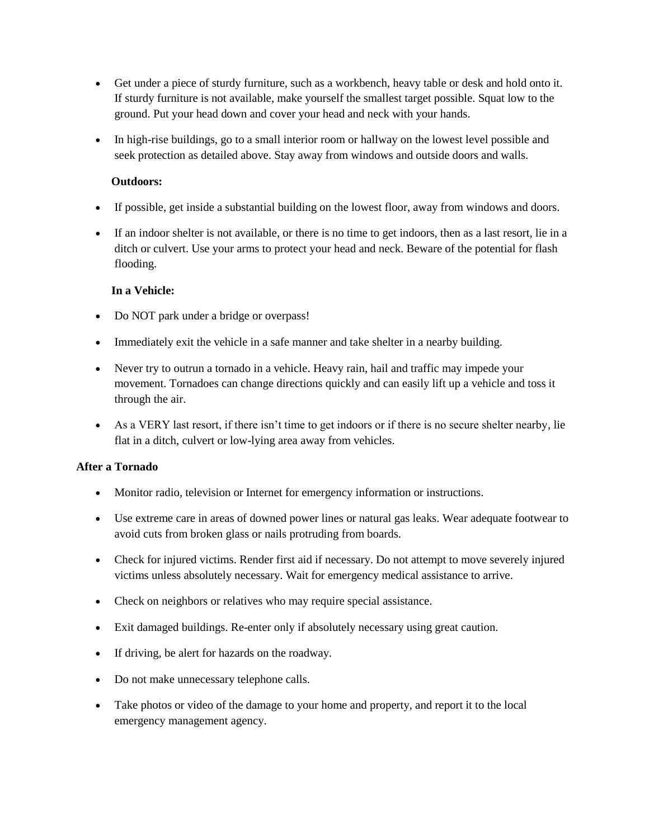- Get under a piece of sturdy furniture, such as a workbench, heavy table or desk and hold onto it. If sturdy furniture is not available, make yourself the smallest target possible. Squat low to the ground. Put your head down and cover your head and neck with your hands.
- In high-rise buildings, go to a small interior room or hallway on the lowest level possible and seek protection as detailed above. Stay away from windows and outside doors and walls.

#### **Outdoors:**

- If possible, get inside a substantial building on the lowest floor, away from windows and doors.
- If an indoor shelter is not available, or there is no time to get indoors, then as a last resort, lie in a ditch or culvert. Use your arms to protect your head and neck. Beware of the potential for flash flooding.

#### **In a Vehicle:**

- Do NOT park under a bridge or overpass!
- Immediately exit the vehicle in a safe manner and take shelter in a nearby building.
- Never try to outrun a tornado in a vehicle. Heavy rain, hail and traffic may impede your movement. Tornadoes can change directions quickly and can easily lift up a vehicle and toss it through the air.
- As a VERY last resort, if there isn't time to get indoors or if there is no secure shelter nearby, lie flat in a ditch, culvert or low-lying area away from vehicles.

#### **After a Tornado**

- Monitor radio, television or Internet for emergency information or instructions.
- Use extreme care in areas of downed power lines or natural gas leaks. Wear adequate footwear to avoid cuts from broken glass or nails protruding from boards.
- Check for injured victims. Render first aid if necessary. Do not attempt to move severely injured victims unless absolutely necessary. Wait for emergency medical assistance to arrive.
- Check on neighbors or relatives who may require special assistance.
- Exit damaged buildings. Re-enter only if absolutely necessary using great caution.
- If driving, be alert for hazards on the roadway.
- Do not make unnecessary telephone calls.
- Take photos or video of the damage to your home and property, and report it to the local emergency management agency.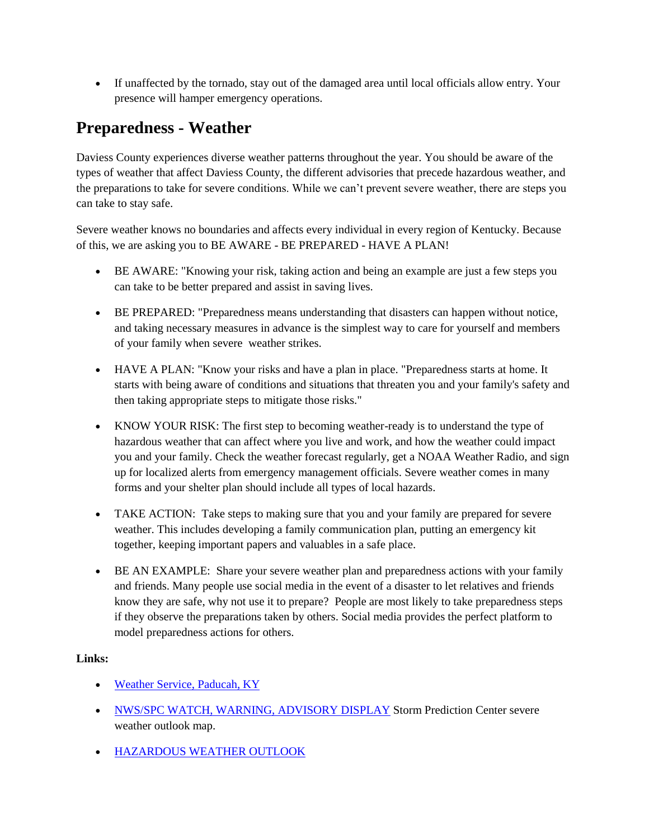If unaffected by the tornado, stay out of the damaged area until local officials allow entry. Your presence will hamper emergency operations.

## <span id="page-26-0"></span>**Preparedness - Weather**

Daviess County experiences diverse weather patterns throughout the year. You should be aware of the types of weather that affect Daviess County, the different advisories that precede hazardous weather, and the preparations to take for severe conditions. While we can't prevent severe weather, there are steps you can take to stay safe.

Severe weather knows no boundaries and affects every individual in every region of Kentucky. Because of this, we are asking you to BE AWARE - BE PREPARED - HAVE A PLAN!

- BE AWARE: "Knowing your risk, taking action and being an example are just a few steps you can take to be better prepared and assist in saving lives.
- BE PREPARED: "Preparedness means understanding that disasters can happen without notice, and taking necessary measures in advance is the simplest way to care for yourself and members of your family when severe weather strikes.
- HAVE A PLAN: "Know your risks and have a plan in place. "Preparedness starts at home. It starts with being aware of conditions and situations that threaten you and your family's safety and then taking appropriate steps to mitigate those risks."
- KNOW YOUR RISK: The first step to becoming weather-ready is to understand the type of hazardous weather that can affect where you live and work, and how the weather could impact you and your family. Check the weather forecast regularly, get a NOAA Weather Radio, and sign up for localized alerts from emergency management officials. Severe weather comes in many forms and your shelter plan should include all types of local hazards.
- TAKE ACTION: Take steps to making sure that you and your family are prepared for severe weather. This includes developing a family communication plan, putting an emergency kit together, keeping important papers and valuables in a safe place.
- BE AN EXAMPLE: Share your severe weather plan and preparedness actions with your family and friends. Many people use social media in the event of a disaster to let relatives and friends know they are safe, why not use it to prepare? People are most likely to take preparedness steps if they observe the preparations taken by others. Social media provides the perfect platform to model preparedness actions for others.

### **Links:**

- Weather [Service, Paducah, KY](http://www.crh.noaa.gov/pah)
- [NWS/SPC WATCH, WARNING, ADVISORY DISPLAY](http://www.spc.noaa.gov/products/wwa/) Storm Prediction Center severe weather outlook map.
- [HAZARDOUS WEATHER OUTLOOK](http://www.crh.noaa.gov/product.php?site=PAH&issuedby=PAH&product=HWO&format=ci&version=1)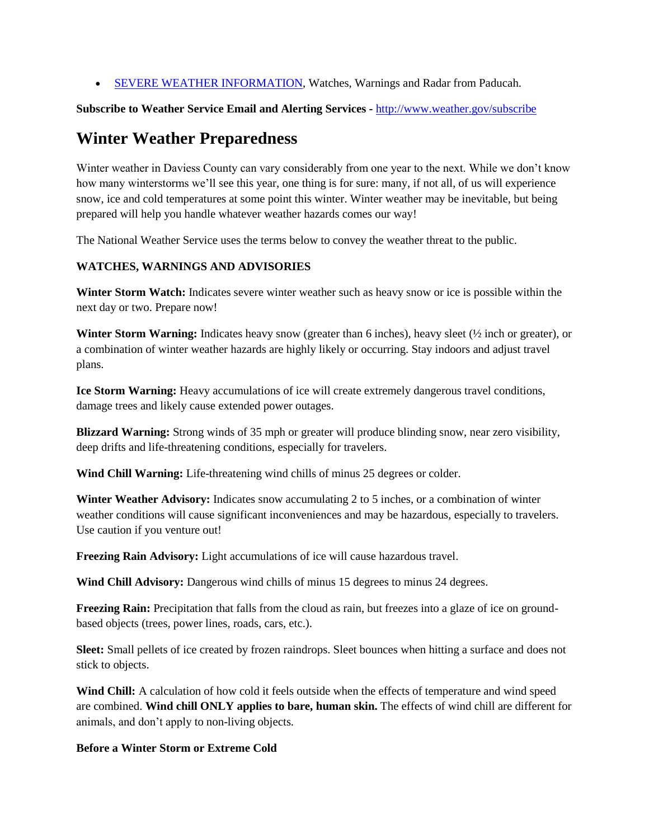[SEVERE WEATHER INFORMATION,](http://www.crh.noaa.gov/pah/?n=severeweather) Watches, Warnings and Radar from Paducah.

**Subscribe to Weather Service Email and Alerting Services -** <http://www.weather.gov/subscribe>

### <span id="page-27-0"></span>**Winter Weather Preparedness**

Winter weather in Daviess County can vary considerably from one year to the next. While we don't know how many winterstorms we'll see this year, one thing is for sure: many, if not all, of us will experience snow, ice and cold temperatures at some point this winter. Winter weather may be inevitable, but being prepared will help you handle whatever weather hazards comes our way!

The National Weather Service uses the terms below to convey the weather threat to the public.

#### **WATCHES, WARNINGS AND ADVISORIES**

**Winter Storm Watch:** Indicates severe winter weather such as heavy snow or ice is possible within the next day or two. Prepare now!

**Winter Storm Warning:** Indicates heavy snow (greater than 6 inches), heavy sleet (½ inch or greater), or a combination of winter weather hazards are highly likely or occurring. Stay indoors and adjust travel plans.

**Ice Storm Warning:** Heavy accumulations of ice will create extremely dangerous travel conditions, damage trees and likely cause extended power outages.

**Blizzard Warning:** Strong winds of 35 mph or greater will produce blinding snow, near zero visibility, deep drifts and life-threatening conditions, especially for travelers.

**Wind Chill Warning:** Life-threatening wind chills of minus 25 degrees or colder.

**Winter Weather Advisory:** Indicates snow accumulating 2 to 5 inches, or a combination of winter weather conditions will cause significant inconveniences and may be hazardous, especially to travelers. Use caution if you venture out!

**Freezing Rain Advisory:** Light accumulations of ice will cause hazardous travel.

Wind Chill Advisory: Dangerous wind chills of minus 15 degrees to minus 24 degrees.

**Freezing Rain:** Precipitation that falls from the cloud as rain, but freezes into a glaze of ice on groundbased objects (trees, power lines, roads, cars, etc.).

**Sleet:** Small pellets of ice created by frozen raindrops. Sleet bounces when hitting a surface and does not stick to objects.

**Wind Chill:** A calculation of how cold it feels outside when the effects of temperature and wind speed are combined. **Wind chill ONLY applies to bare, human skin.** The effects of wind chill are different for animals, and don't apply to non-living objects.

#### **Before a Winter Storm or Extreme Cold**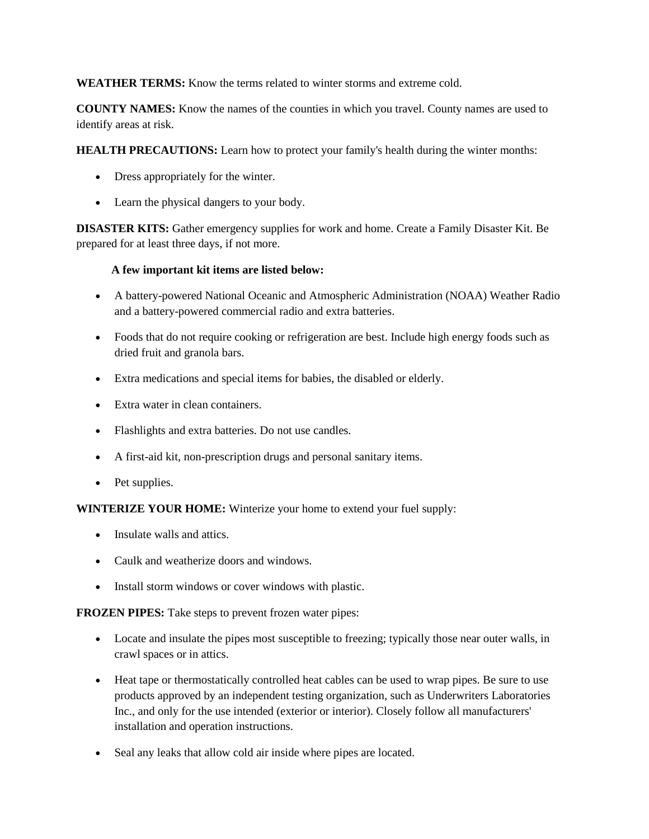**WEATHER TERMS:** Know the terms related to winter storms and extreme cold.

**COUNTY NAMES:** Know the names of the counties in which you travel. County names are used to identify areas at risk.

**HEALTH PRECAUTIONS:** Learn how to protect your family's health during the winter months:

- Dress appropriately for the winter.
- Learn the physical dangers to your body.

**DISASTER KITS:** Gather emergency supplies for work and home. Create a Family Disaster Kit. Be prepared for at least three days, if not more.

#### **A few important kit items are listed below:**

- A battery-powered National Oceanic and Atmospheric Administration (NOAA) Weather Radio and a battery-powered commercial radio and extra batteries.
- Foods that do not require cooking or refrigeration are best. Include high energy foods such as dried fruit and granola bars.
- Extra medications and special items for babies, the disabled or elderly.
- Extra water in clean containers.
- Flashlights and extra batteries. Do not use candles.
- A first-aid kit, non-prescription drugs and personal sanitary items.
- Pet supplies.

**WINTERIZE YOUR HOME:** Winterize your home to extend your fuel supply:

- Insulate walls and attics.
- Caulk and weatherize doors and windows.
- Install storm windows or cover windows with plastic.

**FROZEN PIPES:** Take steps to prevent frozen water pipes:

- Locate and insulate the pipes most susceptible to freezing; typically those near outer walls, in crawl spaces or in attics.
- Heat tape or thermostatically controlled heat cables can be used to wrap pipes. Be sure to use products approved by an independent testing organization, such as Underwriters Laboratories Inc., and only for the use intended (exterior or interior). Closely follow all manufacturers' installation and operation instructions.
- Seal any leaks that allow cold air inside where pipes are located.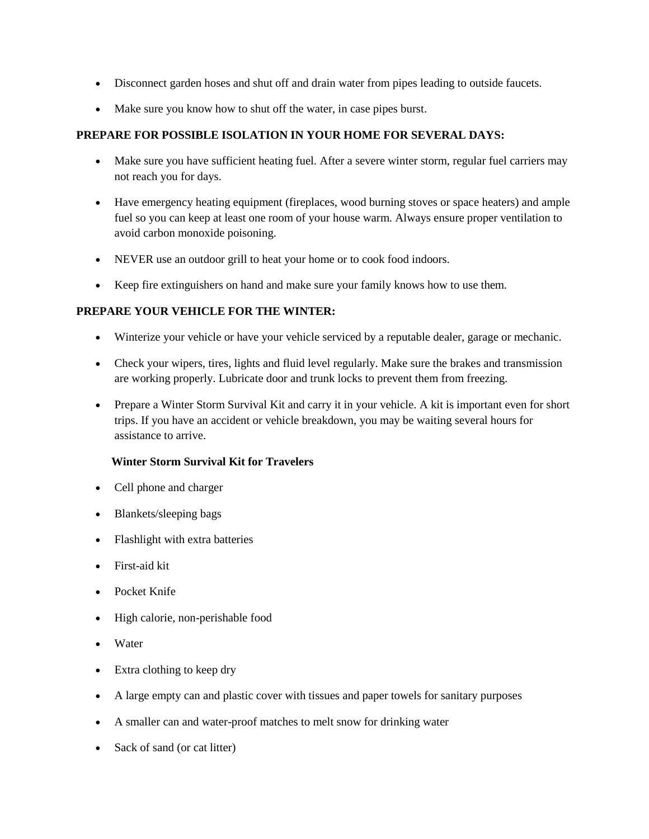- Disconnect garden hoses and shut off and drain water from pipes leading to outside faucets.
- Make sure you know how to shut off the water, in case pipes burst.

#### **PREPARE FOR POSSIBLE ISOLATION IN YOUR HOME FOR SEVERAL DAYS:**

- Make sure you have sufficient heating fuel. After a severe winter storm, regular fuel carriers may not reach you for days.
- Have emergency heating equipment (fireplaces, wood burning stoves or space heaters) and ample fuel so you can keep at least one room of your house warm. Always ensure proper ventilation to avoid carbon monoxide poisoning.
- NEVER use an outdoor grill to heat your home or to cook food indoors.
- Keep fire extinguishers on hand and make sure your family knows how to use them.

#### **PREPARE YOUR VEHICLE FOR THE WINTER:**

- Winterize your vehicle or have your vehicle serviced by a reputable dealer, garage or mechanic.
- Check your wipers, tires, lights and fluid level regularly. Make sure the brakes and transmission are working properly. Lubricate door and trunk locks to prevent them from freezing.
- Prepare a Winter Storm Survival Kit and carry it in your vehicle. A kit is important even for short trips. If you have an accident or vehicle breakdown, you may be waiting several hours for assistance to arrive.

#### **Winter Storm Survival Kit for Travelers**

- Cell phone and charger
- Blankets/sleeping bags
- Flashlight with extra batteries
- First-aid kit
- Pocket Knife
- High calorie, non-perishable food
- Water
- Extra clothing to keep dry
- A large empty can and plastic cover with tissues and paper towels for sanitary purposes
- A smaller can and water-proof matches to melt snow for drinking water
- Sack of sand (or cat litter)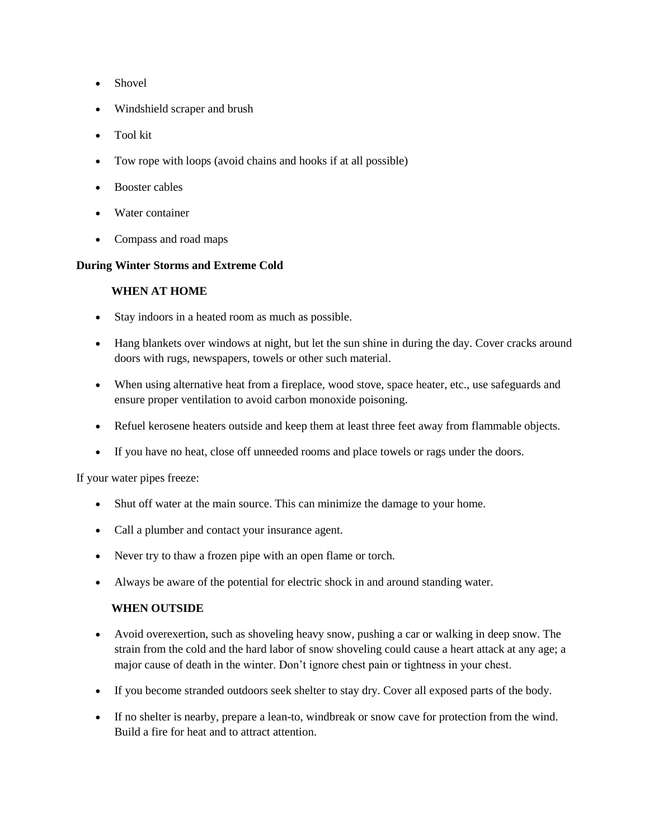- Shovel
- Windshield scraper and brush
- Tool kit
- Tow rope with loops (avoid chains and hooks if at all possible)
- Booster cables
- Water container
- Compass and road maps

#### **During Winter Storms and Extreme Cold**

#### **WHEN AT HOME**

- Stay indoors in a heated room as much as possible.
- Hang blankets over windows at night, but let the sun shine in during the day. Cover cracks around doors with rugs, newspapers, towels or other such material.
- When using alternative heat from a fireplace, wood stove, space heater, etc., use safeguards and ensure proper ventilation to avoid carbon monoxide poisoning.
- Refuel kerosene heaters outside and keep them at least three feet away from flammable objects.
- If you have no heat, close off unneeded rooms and place towels or rags under the doors.

If your water pipes freeze:

- Shut off water at the main source. This can minimize the damage to your home.
- Call a plumber and contact your insurance agent.
- Never try to thaw a frozen pipe with an open flame or torch.
- Always be aware of the potential for electric shock in and around standing water.

#### **WHEN OUTSIDE**

- Avoid overexertion, such as shoveling heavy snow, pushing a car or walking in deep snow. The strain from the cold and the hard labor of snow shoveling could cause a heart attack at any age; a major cause of death in the winter. Don't ignore chest pain or tightness in your chest.
- If you become stranded outdoors seek shelter to stay dry. Cover all exposed parts of the body.
- If no shelter is nearby, prepare a lean-to, windbreak or snow cave for protection from the wind. Build a fire for heat and to attract attention.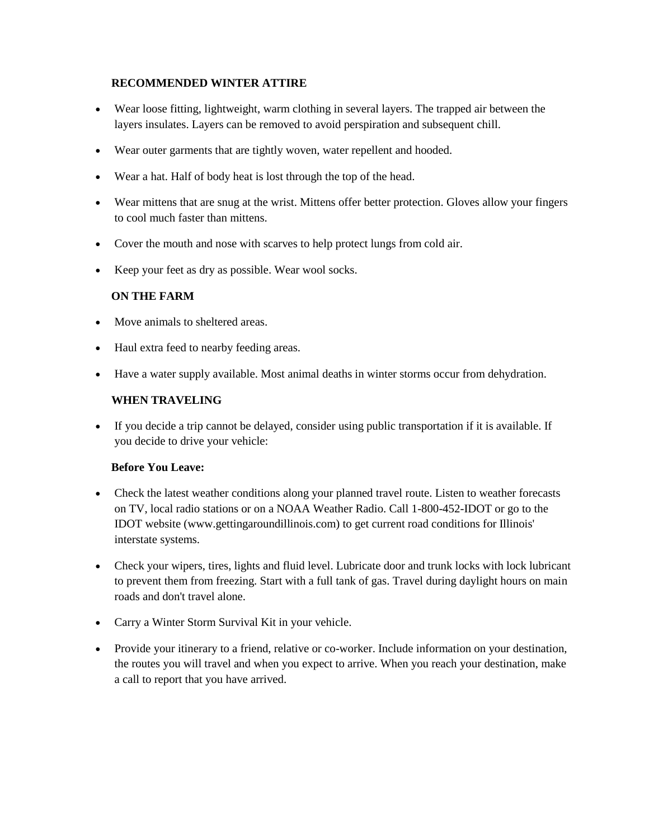#### **RECOMMENDED WINTER ATTIRE**

- Wear loose fitting, lightweight, warm clothing in several layers. The trapped air between the layers insulates. Layers can be removed to avoid perspiration and subsequent chill.
- Wear outer garments that are tightly woven, water repellent and hooded.
- Wear a hat. Half of body heat is lost through the top of the head.
- Wear mittens that are snug at the wrist. Mittens offer better protection. Gloves allow your fingers to cool much faster than mittens.
- Cover the mouth and nose with scarves to help protect lungs from cold air.
- Keep your feet as dry as possible. Wear wool socks.

#### **ON THE FARM**

- Move animals to sheltered areas.
- Haul extra feed to nearby feeding areas.
- Have a water supply available. Most animal deaths in winter storms occur from dehydration.

#### **WHEN TRAVELING**

 If you decide a trip cannot be delayed, consider using public transportation if it is available. If you decide to drive your vehicle:

#### **Before You Leave:**

- Check the latest weather conditions along your planned travel route. Listen to weather forecasts on TV, local radio stations or on a NOAA Weather Radio. Call 1-800-452-IDOT or go to the IDOT website (www.gettingaroundillinois.com) to get current road conditions for Illinois' interstate systems.
- Check your wipers, tires, lights and fluid level. Lubricate door and trunk locks with lock lubricant to prevent them from freezing. Start with a full tank of gas. Travel during daylight hours on main roads and don't travel alone.
- Carry a Winter Storm Survival Kit in your vehicle.
- Provide your itinerary to a friend, relative or co-worker. Include information on your destination, the routes you will travel and when you expect to arrive. When you reach your destination, make a call to report that you have arrived.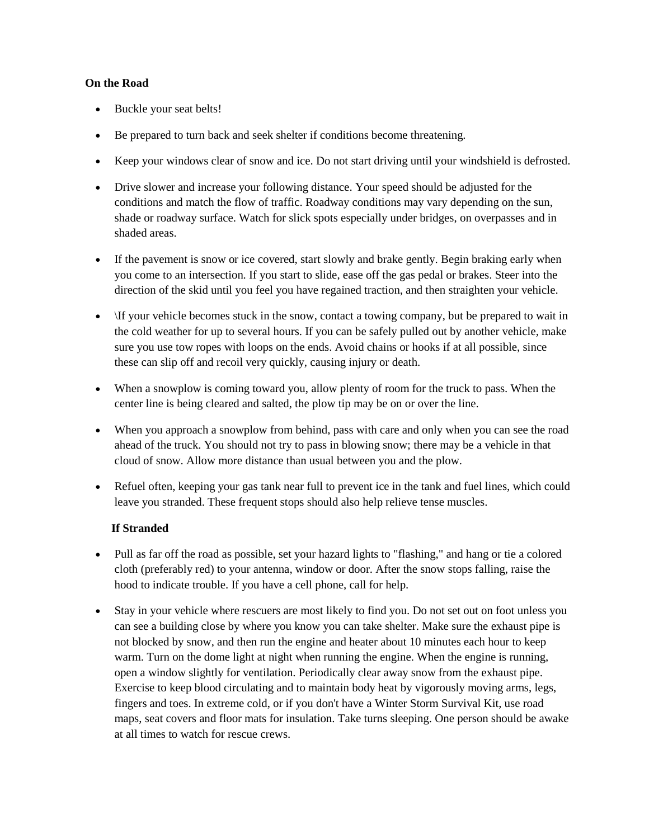#### **On the Road**

- Buckle your seat belts!
- Be prepared to turn back and seek shelter if conditions become threatening.
- Keep your windows clear of snow and ice. Do not start driving until your windshield is defrosted.
- Drive slower and increase your following distance. Your speed should be adjusted for the conditions and match the flow of traffic. Roadway conditions may vary depending on the sun, shade or roadway surface. Watch for slick spots especially under bridges, on overpasses and in shaded areas.
- If the pavement is snow or ice covered, start slowly and brake gently. Begin braking early when you come to an intersection. If you start to slide, ease off the gas pedal or brakes. Steer into the direction of the skid until you feel you have regained traction, and then straighten your vehicle.
- $\bullet$  \If your vehicle becomes stuck in the snow, contact a towing company, but be prepared to wait in the cold weather for up to several hours. If you can be safely pulled out by another vehicle, make sure you use tow ropes with loops on the ends. Avoid chains or hooks if at all possible, since these can slip off and recoil very quickly, causing injury or death.
- When a snowplow is coming toward you, allow plenty of room for the truck to pass. When the center line is being cleared and salted, the plow tip may be on or over the line.
- When you approach a snowplow from behind, pass with care and only when you can see the road ahead of the truck. You should not try to pass in blowing snow; there may be a vehicle in that cloud of snow. Allow more distance than usual between you and the plow.
- Refuel often, keeping your gas tank near full to prevent ice in the tank and fuel lines, which could leave you stranded. These frequent stops should also help relieve tense muscles.

#### **If Stranded**

- Pull as far off the road as possible, set your hazard lights to "flashing," and hang or tie a colored cloth (preferably red) to your antenna, window or door. After the snow stops falling, raise the hood to indicate trouble. If you have a cell phone, call for help.
- Stay in your vehicle where rescuers are most likely to find you. Do not set out on foot unless you can see a building close by where you know you can take shelter. Make sure the exhaust pipe is not blocked by snow, and then run the engine and heater about 10 minutes each hour to keep warm. Turn on the dome light at night when running the engine. When the engine is running, open a window slightly for ventilation. Periodically clear away snow from the exhaust pipe. Exercise to keep blood circulating and to maintain body heat by vigorously moving arms, legs, fingers and toes. In extreme cold, or if you don't have a Winter Storm Survival Kit, use road maps, seat covers and floor mats for insulation. Take turns sleeping. One person should be awake at all times to watch for rescue crews.